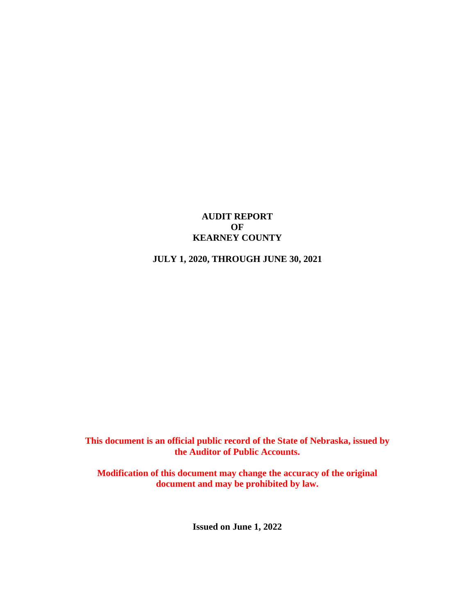## **AUDIT REPORT OF KEARNEY COUNTY**

## **JULY 1, 2020, THROUGH JUNE 30, 2021**

**This document is an official public record of the State of Nebraska, issued by the Auditor of Public Accounts.**

**Modification of this document may change the accuracy of the original document and may be prohibited by law.**

**Issued on June 1, 2022**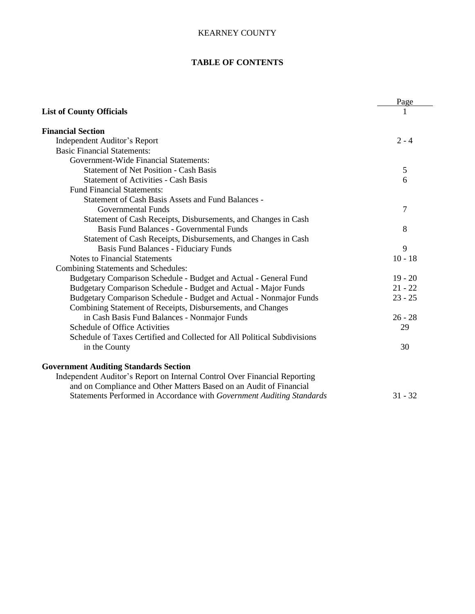### **TABLE OF CONTENTS**

|                                                                           | Page      |
|---------------------------------------------------------------------------|-----------|
| <b>List of County Officials</b>                                           |           |
| <b>Financial Section</b>                                                  |           |
| Independent Auditor's Report                                              | $2 - 4$   |
| <b>Basic Financial Statements:</b>                                        |           |
| Government-Wide Financial Statements:                                     |           |
| <b>Statement of Net Position - Cash Basis</b>                             | 5         |
| <b>Statement of Activities - Cash Basis</b>                               | 6         |
| <b>Fund Financial Statements:</b>                                         |           |
| <b>Statement of Cash Basis Assets and Fund Balances -</b>                 |           |
| Governmental Funds                                                        | 7         |
| Statement of Cash Receipts, Disbursements, and Changes in Cash            |           |
| <b>Basis Fund Balances - Governmental Funds</b>                           | 8         |
| Statement of Cash Receipts, Disbursements, and Changes in Cash            |           |
| <b>Basis Fund Balances - Fiduciary Funds</b>                              | 9         |
| <b>Notes to Financial Statements</b>                                      | $10 - 18$ |
| <b>Combining Statements and Schedules:</b>                                |           |
| Budgetary Comparison Schedule - Budget and Actual - General Fund          | $19 - 20$ |
| Budgetary Comparison Schedule - Budget and Actual - Major Funds           | $21 - 22$ |
| Budgetary Comparison Schedule - Budget and Actual - Nonmajor Funds        | $23 - 25$ |
| Combining Statement of Receipts, Disbursements, and Changes               |           |
| in Cash Basis Fund Balances - Nonmajor Funds                              | $26 - 28$ |
| Schedule of Office Activities                                             | 29        |
| Schedule of Taxes Certified and Collected for All Political Subdivisions  |           |
| in the County                                                             | 30        |
| <b>Government Auditing Standards Section</b>                              |           |
| Independent Auditor's Report on Internal Control Over Financial Reporting |           |
| and on Compliance and Other Matters Based on an Audit of Financial        |           |
| Statements Performed in Accordance with Government Auditing Standards     | $31 - 32$ |
|                                                                           |           |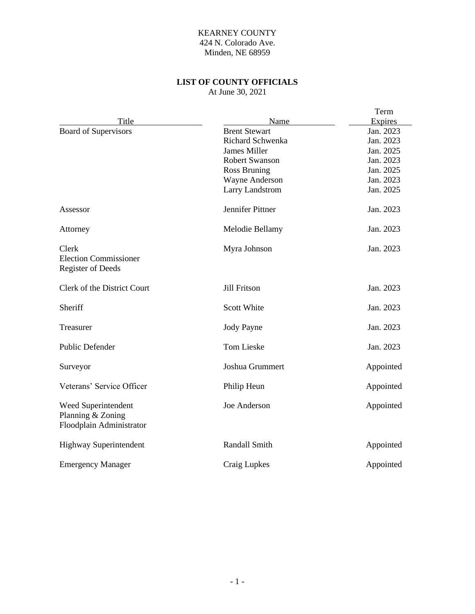### KEARNEY COUNTY 424 N. Colorado Ave. Minden, NE 68959

## **LIST OF COUNTY OFFICIALS**

At June 30, 2021

|                               |                        | Term      |
|-------------------------------|------------------------|-----------|
| Title                         | Name                   | Expires   |
| <b>Board of Supervisors</b>   | <b>Brent Stewart</b>   | Jan. 2023 |
|                               | Richard Schwenka       | Jan. 2023 |
|                               | <b>James Miller</b>    | Jan. 2025 |
|                               | <b>Robert Swanson</b>  | Jan. 2023 |
|                               | <b>Ross Bruning</b>    | Jan. 2025 |
|                               | Wayne Anderson         | Jan. 2023 |
|                               | <b>Larry Landstrom</b> | Jan. 2025 |
| Assessor                      | Jennifer Pittner       | Jan. 2023 |
| Attorney                      | Melodie Bellamy        | Jan. 2023 |
| Clerk                         | Myra Johnson           | Jan. 2023 |
| <b>Election Commissioner</b>  |                        |           |
| <b>Register of Deeds</b>      |                        |           |
| Clerk of the District Court   | Jill Fritson           | Jan. 2023 |
| Sheriff                       | <b>Scott White</b>     | Jan. 2023 |
| Treasurer                     | <b>Jody Payne</b>      | Jan. 2023 |
| <b>Public Defender</b>        | <b>Tom Lieske</b>      | Jan. 2023 |
| Surveyor                      | Joshua Grummert        | Appointed |
| Veterans' Service Officer     | Philip Heun            | Appointed |
| Weed Superintendent           | Joe Anderson           | Appointed |
| Planning & Zoning             |                        |           |
| Floodplain Administrator      |                        |           |
| <b>Highway Superintendent</b> | Randall Smith          | Appointed |
| <b>Emergency Manager</b>      | Craig Lupkes           | Appointed |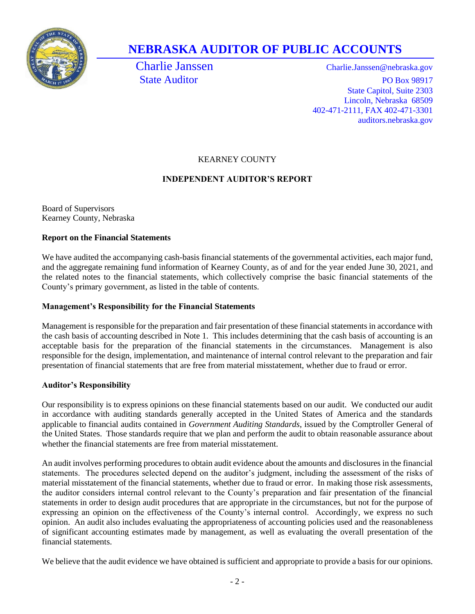

# **NEBRASKA AUDITOR OF PUBLIC ACCOUNTS**

Charlie Janssen Charlie.Janssen@nebraska.gov State Auditor PO Box 98917 State Capitol, Suite 2303 Lincoln, Nebraska 68509 402-471-2111, FAX 402-471-3301 auditors.nebraska.gov

## KEARNEY COUNTY

## **INDEPENDENT AUDITOR'S REPORT**

Board of Supervisors Kearney County, Nebraska

## **Report on the Financial Statements**

We have audited the accompanying cash-basis financial statements of the governmental activities, each major fund, and the aggregate remaining fund information of Kearney County, as of and for the year ended June 30, 2021, and the related notes to the financial statements, which collectively comprise the basic financial statements of the County's primary government, as listed in the table of contents.

## **Management's Responsibility for the Financial Statements**

Management is responsible for the preparation and fair presentation of these financial statements in accordance with the cash basis of accounting described in Note 1. This includes determining that the cash basis of accounting is an acceptable basis for the preparation of the financial statements in the circumstances. Management is also responsible for the design, implementation, and maintenance of internal control relevant to the preparation and fair presentation of financial statements that are free from material misstatement, whether due to fraud or error.

## **Auditor's Responsibility**

Our responsibility is to express opinions on these financial statements based on our audit. We conducted our audit in accordance with auditing standards generally accepted in the United States of America and the standards applicable to financial audits contained in *Government Auditing Standards*, issued by the Comptroller General of the United States. Those standards require that we plan and perform the audit to obtain reasonable assurance about whether the financial statements are free from material misstatement.

An audit involves performing procedures to obtain audit evidence about the amounts and disclosures in the financial statements. The procedures selected depend on the auditor's judgment, including the assessment of the risks of material misstatement of the financial statements, whether due to fraud or error. In making those risk assessments, the auditor considers internal control relevant to the County's preparation and fair presentation of the financial statements in order to design audit procedures that are appropriate in the circumstances, but not for the purpose of expressing an opinion on the effectiveness of the County's internal control. Accordingly, we express no such opinion. An audit also includes evaluating the appropriateness of accounting policies used and the reasonableness of significant accounting estimates made by management, as well as evaluating the overall presentation of the financial statements.

We believe that the audit evidence we have obtained is sufficient and appropriate to provide a basis for our opinions.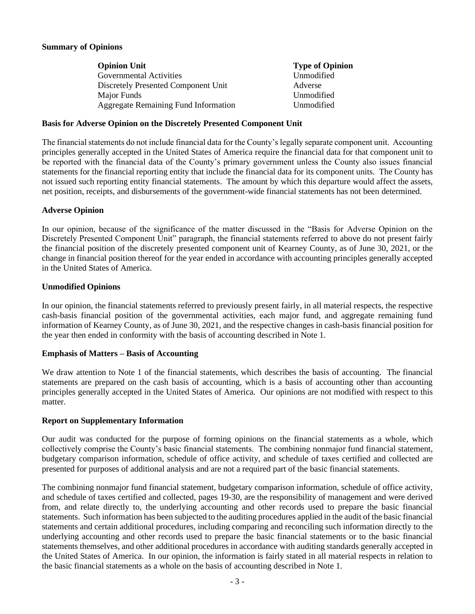#### **Summary of Opinions**

| <b>Opinion Unit</b>                         | <b>Type of Opinion</b> |
|---------------------------------------------|------------------------|
| <b>Governmental Activities</b>              | Unmodified             |
| Discretely Presented Component Unit         | Adverse                |
| <b>Major Funds</b>                          | Unmodified             |
| <b>Aggregate Remaining Fund Information</b> | Unmodified             |

#### **Basis for Adverse Opinion on the Discretely Presented Component Unit**

The financial statements do not include financial data for the County's legally separate component unit. Accounting principles generally accepted in the United States of America require the financial data for that component unit to be reported with the financial data of the County's primary government unless the County also issues financial statements for the financial reporting entity that include the financial data for its component units. The County has not issued such reporting entity financial statements. The amount by which this departure would affect the assets, net position, receipts, and disbursements of the government-wide financial statements has not been determined.

#### **Adverse Opinion**

In our opinion, because of the significance of the matter discussed in the "Basis for Adverse Opinion on the Discretely Presented Component Unit" paragraph, the financial statements referred to above do not present fairly the financial position of the discretely presented component unit of Kearney County, as of June 30, 2021, or the change in financial position thereof for the year ended in accordance with accounting principles generally accepted in the United States of America.

#### **Unmodified Opinions**

In our opinion, the financial statements referred to previously present fairly, in all material respects, the respective cash-basis financial position of the governmental activities, each major fund, and aggregate remaining fund information of Kearney County, as of June 30, 2021, and the respective changes in cash-basis financial position for the year then ended in conformity with the basis of accounting described in Note 1.

#### **Emphasis of Matters – Basis of Accounting**

We draw attention to Note 1 of the financial statements, which describes the basis of accounting. The financial statements are prepared on the cash basis of accounting, which is a basis of accounting other than accounting principles generally accepted in the United States of America. Our opinions are not modified with respect to this matter.

#### **Report on Supplementary Information**

Our audit was conducted for the purpose of forming opinions on the financial statements as a whole, which collectively comprise the County's basic financial statements. The combining nonmajor fund financial statement, budgetary comparison information, schedule of office activity, and schedule of taxes certified and collected are presented for purposes of additional analysis and are not a required part of the basic financial statements.

The combining nonmajor fund financial statement, budgetary comparison information, schedule of office activity, and schedule of taxes certified and collected, pages 19-30, are the responsibility of management and were derived from, and relate directly to, the underlying accounting and other records used to prepare the basic financial statements. Such information has been subjected to the auditing procedures applied in the audit of the basic financial statements and certain additional procedures, including comparing and reconciling such information directly to the underlying accounting and other records used to prepare the basic financial statements or to the basic financial statements themselves, and other additional procedures in accordance with auditing standards generally accepted in the United States of America. In our opinion, the information is fairly stated in all material respects in relation to the basic financial statements as a whole on the basis of accounting described in Note 1.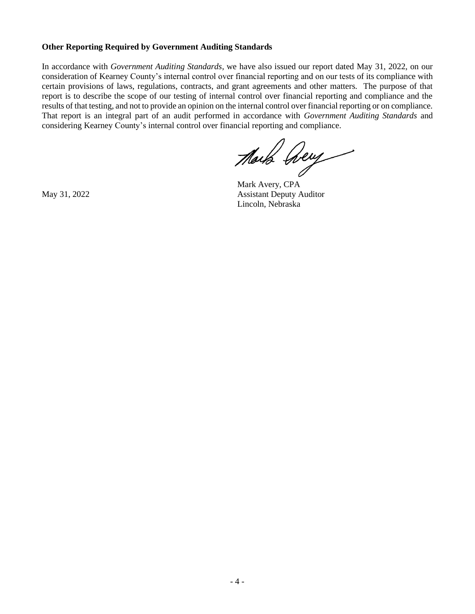#### **Other Reporting Required by Government Auditing Standards**

In accordance with *Government Auditing Standards*, we have also issued our report dated May 31, 2022, on our consideration of Kearney County's internal control over financial reporting and on our tests of its compliance with certain provisions of laws, regulations, contracts, and grant agreements and other matters. The purpose of that report is to describe the scope of our testing of internal control over financial reporting and compliance and the results of that testing, and not to provide an opinion on the internal control over financial reporting or on compliance. That report is an integral part of an audit performed in accordance with *Government Auditing Standards* and considering Kearney County's internal control over financial reporting and compliance.

Mark Aery

Mark Avery, CPA May 31, 2022 Assistant Deputy Auditor Lincoln, Nebraska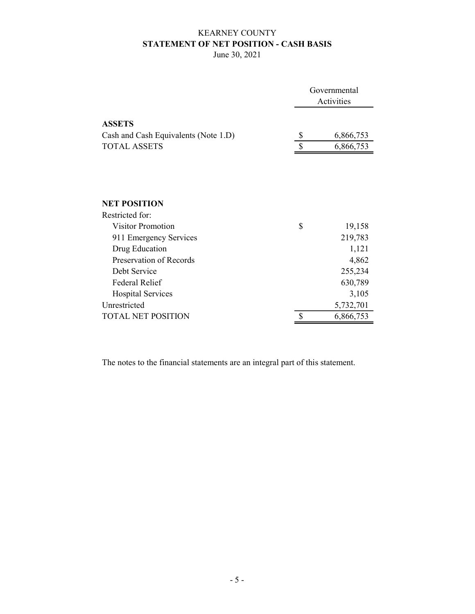## KEARNEY COUNTY STATEMENT OF NET POSITION - CASH BASIS

June 30, 2021

|                                      | Governmental<br>Activities |           |  |  |
|--------------------------------------|----------------------------|-----------|--|--|
| <b>ASSETS</b>                        |                            |           |  |  |
| Cash and Cash Equivalents (Note 1.D) | \$                         | 6,866,753 |  |  |
| <b>TOTAL ASSETS</b>                  | \$                         | 6,866,753 |  |  |
|                                      |                            |           |  |  |
| <b>NET POSITION</b>                  |                            |           |  |  |
| Restricted for:                      |                            |           |  |  |
| <b>Visitor Promotion</b>             | \$                         | 19,158    |  |  |
| 911 Emergency Services               |                            | 219,783   |  |  |
| Drug Education                       |                            | 1,121     |  |  |
| Preservation of Records              |                            | 4,862     |  |  |
| Debt Service                         |                            | 255,234   |  |  |
| <b>Federal Relief</b>                |                            | 630,789   |  |  |
| <b>Hospital Services</b>             |                            | 3,105     |  |  |
| Unrestricted                         |                            | 5,732,701 |  |  |
| <b>TOTAL NET POSITION</b>            | \$                         | 6,866,753 |  |  |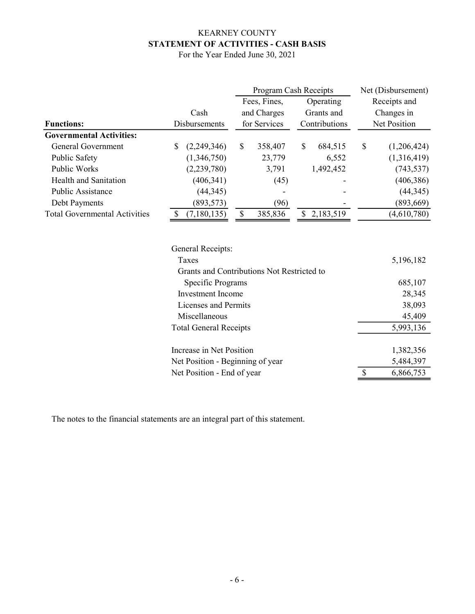## KEARNEY COUNTY STATEMENT OF ACTIVITIES - CASH BASIS

| For the Year Ended June 30, 2021 |  |  |  |  |  |
|----------------------------------|--|--|--|--|--|
|----------------------------------|--|--|--|--|--|

|                                      |    |                                            | Program Cash Receipts |              |           |               |              | Net (Disbursement) |
|--------------------------------------|----|--------------------------------------------|-----------------------|--------------|-----------|---------------|--------------|--------------------|
|                                      |    |                                            |                       | Fees, Fines, | Operating |               | Receipts and |                    |
|                                      |    | Cash                                       |                       | and Charges  |           | Grants and    | Changes in   |                    |
| <b>Functions:</b>                    |    | Disbursements                              |                       | for Services |           | Contributions |              | Net Position       |
| <b>Governmental Activities:</b>      |    |                                            |                       |              |           |               |              |                    |
| General Government                   | \$ | (2,249,346)                                | \$                    | 358,407      | \$        | 684,515       | \$           | (1,206,424)        |
| Public Safety                        |    | (1,346,750)                                |                       | 23,779       |           | 6,552         |              | (1,316,419)        |
| Public Works                         |    | (2,239,780)                                |                       | 3,791        |           | 1,492,452     |              | (743, 537)         |
| <b>Health and Sanitation</b>         |    | (406, 341)                                 |                       | (45)         |           |               |              | (406, 386)         |
| Public Assistance                    |    | (44, 345)                                  |                       |              |           |               |              | (44,345)           |
| Debt Payments                        |    | (893, 573)                                 |                       | (96)         |           |               |              | (893, 669)         |
| <b>Total Governmental Activities</b> | S  | (7,180,135)                                | \$                    | 385,836      | \$        | 2,183,519     |              | (4,610,780)        |
|                                      |    | General Receipts:                          |                       |              |           |               |              |                    |
|                                      |    | Taxes                                      |                       |              |           |               |              | 5,196,182          |
|                                      |    | Grants and Contributions Not Restricted to |                       |              |           |               |              |                    |
|                                      |    | Specific Programs                          |                       |              |           |               |              | 685,107            |

 Investment Income 28,345 Licenses and Permits 38,093 Miscellaneous 45,409 Total General Receipts 5,993,136

Increase in Net Position 1,382,356

Net Position - Beginning of year 5,484,397<br>Net Position - End of year 5,484,397

The notes to the financial statements are an integral part of this statement.

Net Position - End of year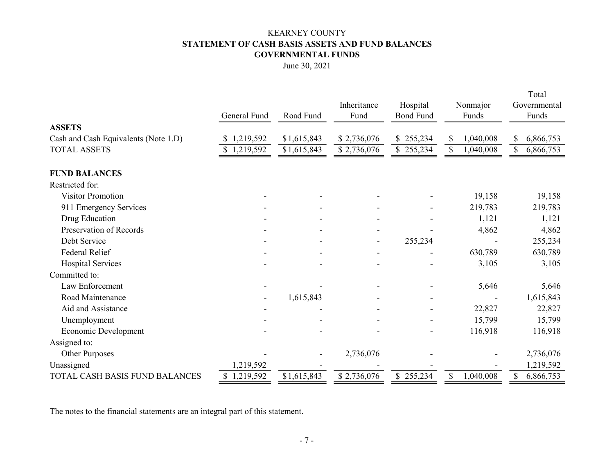## KEARNEY COUNTY STATEMENT OF CASH BASIS ASSETS AND FUND BALANCES GOVERNMENTAL FUNDS

June 30, 2021

|                                      |              |             | Inheritance    | Hospital         | Nonmajor        | Total<br>Governmental |
|--------------------------------------|--------------|-------------|----------------|------------------|-----------------|-----------------------|
|                                      | General Fund | Road Fund   | Fund           | <b>Bond Fund</b> | Funds           | Funds                 |
| <b>ASSETS</b>                        |              |             |                |                  |                 |                       |
| Cash and Cash Equivalents (Note 1.D) | \$1,219,592  | \$1,615,843 | \$2,736,076    | \$255,234        | \$<br>1,040,008 | \$<br>6,866,753       |
| <b>TOTAL ASSETS</b>                  | 1,219,592    | \$1,615,843 | \$2,736,076    | \$255,234        | \$<br>1,040,008 | 6,866,753<br>\$       |
| <b>FUND BALANCES</b>                 |              |             |                |                  |                 |                       |
| Restricted for:                      |              |             |                |                  |                 |                       |
| <b>Visitor Promotion</b>             |              |             |                |                  | 19,158          | 19,158                |
| 911 Emergency Services               |              |             |                |                  | 219,783         | 219,783               |
| Drug Education                       |              |             |                |                  | 1,121           | 1,121                 |
| Preservation of Records              |              |             |                |                  | 4,862           | 4,862                 |
| Debt Service                         |              |             | $\blacksquare$ | 255,234          |                 | 255,234               |
| Federal Relief                       |              |             |                |                  | 630,789         | 630,789               |
| <b>Hospital Services</b>             |              |             |                |                  | 3,105           | 3,105                 |
| Committed to:                        |              |             |                |                  |                 |                       |
| Law Enforcement                      |              |             |                |                  | 5,646           | 5,646                 |
| Road Maintenance                     |              | 1,615,843   |                |                  |                 | 1,615,843             |
| Aid and Assistance                   |              |             |                |                  | 22,827          | 22,827                |
| Unemployment                         |              |             |                |                  | 15,799          | 15,799                |
| Economic Development                 |              |             |                |                  | 116,918         | 116,918               |
| Assigned to:                         |              |             |                |                  |                 |                       |
| Other Purposes                       |              |             | 2,736,076      |                  |                 | 2,736,076             |
| Unassigned                           | 1,219,592    |             |                |                  |                 | 1,219,592             |
| TOTAL CASH BASIS FUND BALANCES       | \$1,219,592  | \$1,615,843 | \$2,736,076    | \$255,234        | \$<br>1,040,008 | \$<br>6,866,753       |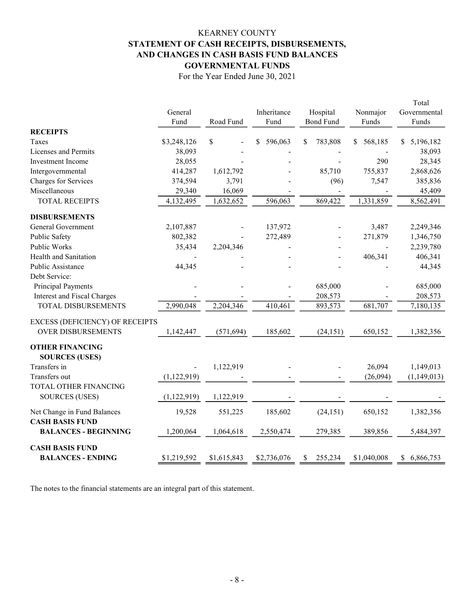## KEARNEY COUNTY STATEMENT OF CASH RECEIPTS, DISBURSEMENTS, AND CHANGES IN CASH BASIS FUND BALANCES GOVERNMENTAL FUNDS

For the Year Ended June 30, 2021

|                                    |               |              |               |                  |              | Total           |
|------------------------------------|---------------|--------------|---------------|------------------|--------------|-----------------|
|                                    | General       |              | Inheritance   | Hospital         | Nonmajor     | Governmental    |
|                                    | Fund          | Road Fund    | Fund          | <b>Bond Fund</b> | Funds        | Funds           |
| <b>RECEIPTS</b>                    |               |              |               |                  |              |                 |
| Taxes                              | \$3,248,126   | $\mathbb{S}$ | 596,063<br>\$ | \$<br>783,808    | 568,185<br>S | 5,196,182<br>S  |
| Licenses and Permits               | 38,093        |              |               |                  |              | 38,093          |
| <b>Investment</b> Income           | 28,055        |              |               |                  | 290          | 28,345          |
| Intergovernmental                  | 414,287       | 1,612,792    |               | 85,710           | 755,837      | 2,868,626       |
| Charges for Services               | 374,594       | 3,791        |               | (96)             | 7,547        | 385,836         |
| Miscellaneous                      | 29,340        | 16,069       |               |                  |              | 45,409          |
| <b>TOTAL RECEIPTS</b>              | 4,132,495     | 1,632,652    | 596,063       | 869,422          | 1,331,859    | 8,562,491       |
| <b>DISBURSEMENTS</b>               |               |              |               |                  |              |                 |
| General Government                 | 2,107,887     |              | 137,972       |                  | 3,487        | 2,249,346       |
| Public Safety                      | 802,382       |              | 272,489       |                  | 271,879      | 1,346,750       |
| Public Works                       | 35,434        | 2,204,346    |               |                  |              | 2,239,780       |
| Health and Sanitation              |               |              |               |                  | 406,341      | 406,341         |
| Public Assistance                  | 44,345        |              |               |                  |              | 44,345          |
| Debt Service:                      |               |              |               |                  |              |                 |
| Principal Payments                 |               |              |               | 685,000          |              | 685,000         |
| <b>Interest and Fiscal Charges</b> |               |              |               | 208,573          |              | 208,573         |
| <b>TOTAL DISBURSEMENTS</b>         | 2,990,048     | 2,204,346    | 410,461       | 893,573          | 681,707      | 7,180,135       |
| EXCESS (DEFICIENCY) OF RECEIPTS    |               |              |               |                  |              |                 |
| <b>OVER DISBURSEMENTS</b>          | 1,142,447     | (571, 694)   | 185,602       | (24, 151)        | 650,152      | 1,382,356       |
| <b>OTHER FINANCING</b>             |               |              |               |                  |              |                 |
| <b>SOURCES (USES)</b>              |               |              |               |                  |              |                 |
| Transfers in                       |               | 1,122,919    |               |                  | 26,094       | 1,149,013       |
| Transfers out                      | (1, 122, 919) |              |               |                  | (26,094)     | (1,149,013)     |
| TOTAL OTHER FINANCING              |               |              |               |                  |              |                 |
| <b>SOURCES (USES)</b>              | (1, 122, 919) | 1,122,919    |               |                  |              |                 |
| Net Change in Fund Balances        | 19,528        | 551,225      | 185,602       | (24, 151)        | 650,152      | 1,382,356       |
| <b>CASH BASIS FUND</b>             |               |              |               |                  |              |                 |
| <b>BALANCES - BEGINNING</b>        | 1,200,064     | 1,064,618    | 2,550,474     | 279,385          | 389,856      | 5,484,397       |
| <b>CASH BASIS FUND</b>             |               |              |               |                  |              |                 |
| <b>BALANCES - ENDING</b>           | \$1,219,592   | \$1,615,843  | \$2,736,076   | 255,234<br>\$    | \$1,040,008  | 6,866,753<br>\$ |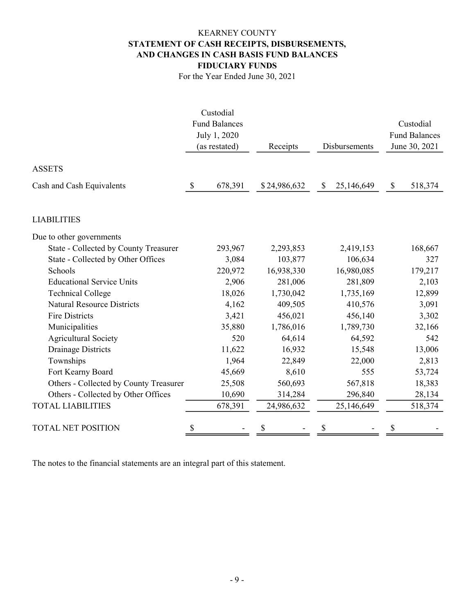## KEARNEY COUNTY STATEMENT OF CASH RECEIPTS, DISBURSEMENTS, AND CHANGES IN CASH BASIS FUND BALANCES FIDUCIARY FUNDS

For the Year Ended June 30, 2021

|                                        | Custodial               |        |              |              |               |              |                      |
|----------------------------------------|-------------------------|--------|--------------|--------------|---------------|--------------|----------------------|
|                                        | <b>Fund Balances</b>    |        |              |              |               |              | Custodial            |
|                                        | July 1, 2020            |        |              |              |               |              | <b>Fund Balances</b> |
|                                        | (as restated)           |        | Receipts     |              | Disbursements |              | June 30, 2021        |
|                                        |                         |        |              |              |               |              |                      |
| <b>ASSETS</b>                          |                         |        |              |              |               |              |                      |
| Cash and Cash Equivalents              | $\mathbb{S}$<br>678,391 |        | \$24,986,632 | $\mathbb{S}$ | 25,146,649    | $\mathbb{S}$ | 518,374              |
| <b>LIABILITIES</b>                     |                         |        |              |              |               |              |                      |
| Due to other governments               |                         |        |              |              |               |              |                      |
| State - Collected by County Treasurer  | 293,967                 |        | 2,293,853    |              | 2,419,153     |              | 168,667              |
| State - Collected by Other Offices     |                         | 3,084  | 103,877      |              | 106,634       |              | 327                  |
| Schools                                | 220,972                 |        | 16,938,330   |              | 16,980,085    |              | 179,217              |
| <b>Educational Service Units</b>       |                         | 2,906  | 281,006      |              | 281,809       |              | 2,103                |
| <b>Technical College</b>               |                         | 18,026 | 1,730,042    |              | 1,735,169     |              | 12,899               |
| <b>Natural Resource Districts</b>      |                         | 4,162  | 409,505      |              | 410,576       |              | 3,091                |
| <b>Fire Districts</b>                  |                         | 3,421  | 456,021      |              | 456,140       |              | 3,302                |
| Municipalities                         |                         | 35,880 | 1,786,016    |              | 1,789,730     |              | 32,166               |
| <b>Agricultural Society</b>            |                         | 520    | 64,614       |              | 64,592        |              | 542                  |
| <b>Drainage Districts</b>              |                         | 11,622 | 16,932       |              | 15,548        |              | 13,006               |
| Townships                              |                         | 1,964  | 22,849       |              | 22,000        |              | 2,813                |
| Fort Kearny Board                      |                         | 45,669 | 8,610        |              | 555           |              | 53,724               |
| Others - Collected by County Treasurer |                         | 25,508 | 560,693      |              | 567,818       |              | 18,383               |
| Others - Collected by Other Offices    |                         | 10,690 | 314,284      |              | 296,840       |              | 28,134               |
| <b>TOTAL LIABILITIES</b>               | 678,391                 |        | 24,986,632   |              | 25,146,649    |              | 518,374              |
| <b>TOTAL NET POSITION</b>              | \$                      |        | \$           |              |               | \$           |                      |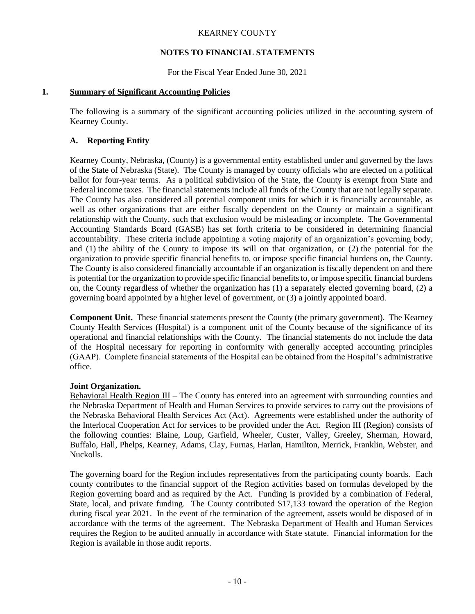#### **NOTES TO FINANCIAL STATEMENTS**

For the Fiscal Year Ended June 30, 2021

#### **1. Summary of Significant Accounting Policies**

The following is a summary of the significant accounting policies utilized in the accounting system of Kearney County.

#### **A. Reporting Entity**

Kearney County, Nebraska, (County) is a governmental entity established under and governed by the laws of the State of Nebraska (State). The County is managed by county officials who are elected on a political ballot for four-year terms. As a political subdivision of the State, the County is exempt from State and Federal income taxes. The financial statements include all funds of the County that are not legally separate. The County has also considered all potential component units for which it is financially accountable, as well as other organizations that are either fiscally dependent on the County or maintain a significant relationship with the County, such that exclusion would be misleading or incomplete. The Governmental Accounting Standards Board (GASB) has set forth criteria to be considered in determining financial accountability. These criteria include appointing a voting majority of an organization's governing body, and (1) the ability of the County to impose its will on that organization, or (2) the potential for the organization to provide specific financial benefits to, or impose specific financial burdens on, the County. The County is also considered financially accountable if an organization is fiscally dependent on and there is potential for the organization to provide specific financial benefits to, or impose specific financial burdens on, the County regardless of whether the organization has (1) a separately elected governing board, (2) a governing board appointed by a higher level of government, or (3) a jointly appointed board.

**Component Unit.** These financial statements present the County (the primary government). The Kearney County Health Services (Hospital) is a component unit of the County because of the significance of its operational and financial relationships with the County. The financial statements do not include the data of the Hospital necessary for reporting in conformity with generally accepted accounting principles (GAAP). Complete financial statements of the Hospital can be obtained from the Hospital's administrative office.

#### **Joint Organization.**

Behavioral Health Region III – The County has entered into an agreement with surrounding counties and the Nebraska Department of Health and Human Services to provide services to carry out the provisions of the Nebraska Behavioral Health Services Act (Act). Agreements were established under the authority of the Interlocal Cooperation Act for services to be provided under the Act. Region III (Region) consists of the following counties: Blaine, Loup, Garfield, Wheeler, Custer, Valley, Greeley, Sherman, Howard, Buffalo, Hall, Phelps, Kearney, Adams, Clay, Furnas, Harlan, Hamilton, Merrick, Franklin, Webster, and Nuckolls.

The governing board for the Region includes representatives from the participating county boards. Each county contributes to the financial support of the Region activities based on formulas developed by the Region governing board and as required by the Act. Funding is provided by a combination of Federal, State, local, and private funding. The County contributed \$17,133 toward the operation of the Region during fiscal year 2021. In the event of the termination of the agreement, assets would be disposed of in accordance with the terms of the agreement. The Nebraska Department of Health and Human Services requires the Region to be audited annually in accordance with State statute. Financial information for the Region is available in those audit reports.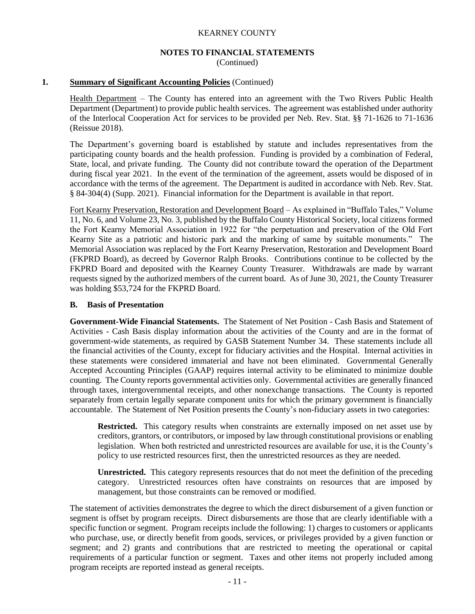## **NOTES TO FINANCIAL STATEMENTS**

(Continued)

#### **1. Summary of Significant Accounting Policies** (Continued)

Health Department – The County has entered into an agreement with the Two Rivers Public Health Department (Department) to provide public health services. The agreement was established under authority of the Interlocal Cooperation Act for services to be provided per Neb. Rev. Stat. §§ 71-1626 to 71-1636 (Reissue 2018).

The Department's governing board is established by statute and includes representatives from the participating county boards and the health profession. Funding is provided by a combination of Federal, State, local, and private funding. The County did not contribute toward the operation of the Department during fiscal year 2021. In the event of the termination of the agreement, assets would be disposed of in accordance with the terms of the agreement. The Department is audited in accordance with Neb. Rev. Stat. § 84-304(4) (Supp. 2021). Financial information for the Department is available in that report.

Fort Kearny Preservation, Restoration and Development Board – As explained in "Buffalo Tales," Volume 11, No. 6, and Volume 23, No. 3, published by the Buffalo County Historical Society, local citizens formed the Fort Kearny Memorial Association in 1922 for "the perpetuation and preservation of the Old Fort Kearny Site as a patriotic and historic park and the marking of same by suitable monuments." The Memorial Association was replaced by the Fort Kearny Preservation, Restoration and Development Board (FKPRD Board), as decreed by Governor Ralph Brooks. Contributions continue to be collected by the FKPRD Board and deposited with the Kearney County Treasurer. Withdrawals are made by warrant requests signed by the authorized members of the current board. As of June 30, 2021, the County Treasurer was holding \$53,724 for the FKPRD Board.

#### **B. Basis of Presentation**

**Government-Wide Financial Statements.** The Statement of Net Position - Cash Basis and Statement of Activities - Cash Basis display information about the activities of the County and are in the format of government-wide statements, as required by GASB Statement Number 34. These statements include all the financial activities of the County, except for fiduciary activities and the Hospital. Internal activities in these statements were considered immaterial and have not been eliminated. Governmental Generally Accepted Accounting Principles (GAAP) requires internal activity to be eliminated to minimize double counting. The County reports governmental activities only. Governmental activities are generally financed through taxes, intergovernmental receipts, and other nonexchange transactions. The County is reported separately from certain legally separate component units for which the primary government is financially accountable. The Statement of Net Position presents the County's non-fiduciary assets in two categories:

**Restricted.** This category results when constraints are externally imposed on net asset use by creditors, grantors, or contributors, or imposed by law through constitutional provisions or enabling legislation. When both restricted and unrestricted resources are available for use, it is the County's policy to use restricted resources first, then the unrestricted resources as they are needed.

**Unrestricted.** This category represents resources that do not meet the definition of the preceding category. Unrestricted resources often have constraints on resources that are imposed by management, but those constraints can be removed or modified.

The statement of activities demonstrates the degree to which the direct disbursement of a given function or segment is offset by program receipts. Direct disbursements are those that are clearly identifiable with a specific function or segment. Program receipts include the following: 1) charges to customers or applicants who purchase, use, or directly benefit from goods, services, or privileges provided by a given function or segment; and 2) grants and contributions that are restricted to meeting the operational or capital requirements of a particular function or segment. Taxes and other items not properly included among program receipts are reported instead as general receipts.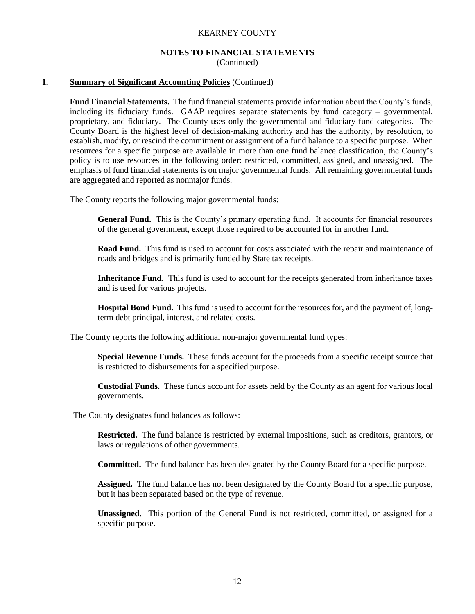## **NOTES TO FINANCIAL STATEMENTS**

(Continued)

#### **1. Summary of Significant Accounting Policies** (Continued)

**Fund Financial Statements.**The fund financial statements provide information about the County's funds, including its fiduciary funds. GAAP requires separate statements by fund category – governmental, proprietary, and fiduciary. The County uses only the governmental and fiduciary fund categories. The County Board is the highest level of decision-making authority and has the authority, by resolution, to establish, modify, or rescind the commitment or assignment of a fund balance to a specific purpose. When resources for a specific purpose are available in more than one fund balance classification, the County's policy is to use resources in the following order: restricted, committed, assigned, and unassigned. The emphasis of fund financial statements is on major governmental funds. All remaining governmental funds are aggregated and reported as nonmajor funds.

The County reports the following major governmental funds:

**General Fund.**This is the County's primary operating fund. It accounts for financial resources of the general government, except those required to be accounted for in another fund.

**Road Fund.** This fund is used to account for costs associated with the repair and maintenance of roads and bridges and is primarily funded by State tax receipts.

**Inheritance Fund.** This fund is used to account for the receipts generated from inheritance taxes and is used for various projects.

**Hospital Bond Fund.** This fund is used to account for the resources for, and the payment of, longterm debt principal, interest, and related costs.

The County reports the following additional non-major governmental fund types:

**Special Revenue Funds.** These funds account for the proceeds from a specific receipt source that is restricted to disbursements for a specified purpose.

**Custodial Funds.**These funds account for assets held by the County as an agent for various local governments.

The County designates fund balances as follows:

**Restricted.** The fund balance is restricted by external impositions, such as creditors, grantors, or laws or regulations of other governments.

**Committed.** The fund balance has been designated by the County Board for a specific purpose.

**Assigned.** The fund balance has not been designated by the County Board for a specific purpose, but it has been separated based on the type of revenue.

**Unassigned.** This portion of the General Fund is not restricted, committed, or assigned for a specific purpose.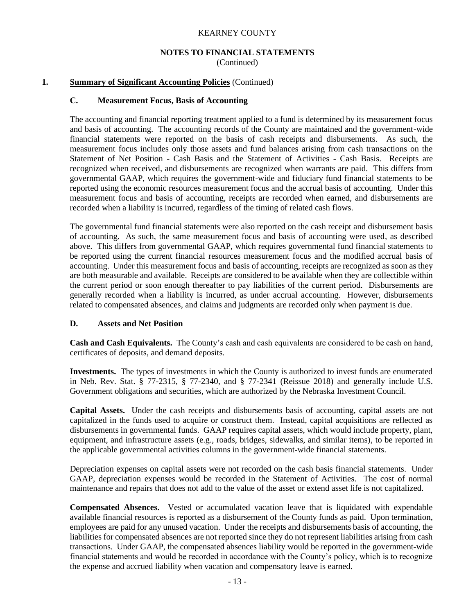### **NOTES TO FINANCIAL STATEMENTS**

(Continued)

#### **1. Summary of Significant Accounting Policies** (Continued)

#### **C. Measurement Focus, Basis of Accounting**

The accounting and financial reporting treatment applied to a fund is determined by its measurement focus and basis of accounting. The accounting records of the County are maintained and the government-wide financial statements were reported on the basis of cash receipts and disbursements. As such, the measurement focus includes only those assets and fund balances arising from cash transactions on the Statement of Net Position - Cash Basis and the Statement of Activities - Cash Basis. Receipts are recognized when received, and disbursements are recognized when warrants are paid. This differs from governmental GAAP, which requires the government-wide and fiduciary fund financial statements to be reported using the economic resources measurement focus and the accrual basis of accounting. Under this measurement focus and basis of accounting, receipts are recorded when earned, and disbursements are recorded when a liability is incurred, regardless of the timing of related cash flows.

The governmental fund financial statements were also reported on the cash receipt and disbursement basis of accounting. As such, the same measurement focus and basis of accounting were used, as described above. This differs from governmental GAAP, which requires governmental fund financial statements to be reported using the current financial resources measurement focus and the modified accrual basis of accounting. Under this measurement focus and basis of accounting, receipts are recognized as soon as they are both measurable and available. Receipts are considered to be available when they are collectible within the current period or soon enough thereafter to pay liabilities of the current period. Disbursements are generally recorded when a liability is incurred, as under accrual accounting. However, disbursements related to compensated absences, and claims and judgments are recorded only when payment is due.

#### **D. Assets and Net Position**

**Cash and Cash Equivalents.** The County's cash and cash equivalents are considered to be cash on hand, certificates of deposits, and demand deposits.

**Investments.** The types of investments in which the County is authorized to invest funds are enumerated in Neb. Rev. Stat. § 77-2315, § 77-2340, and § 77-2341 (Reissue 2018) and generally include U.S. Government obligations and securities, which are authorized by the Nebraska Investment Council.

**Capital Assets.** Under the cash receipts and disbursements basis of accounting, capital assets are not capitalized in the funds used to acquire or construct them. Instead, capital acquisitions are reflected as disbursements in governmental funds. GAAP requires capital assets, which would include property, plant, equipment, and infrastructure assets (e.g., roads, bridges, sidewalks, and similar items), to be reported in the applicable governmental activities columns in the government-wide financial statements.

Depreciation expenses on capital assets were not recorded on the cash basis financial statements. Under GAAP, depreciation expenses would be recorded in the Statement of Activities. The cost of normal maintenance and repairs that does not add to the value of the asset or extend asset life is not capitalized.

**Compensated Absences.** Vested or accumulated vacation leave that is liquidated with expendable available financial resources is reported as a disbursement of the County funds as paid. Upon termination, employees are paid for any unused vacation. Under the receipts and disbursements basis of accounting, the liabilities for compensated absences are not reported since they do not represent liabilities arising from cash transactions. Under GAAP, the compensated absences liability would be reported in the government-wide financial statements and would be recorded in accordance with the County's policy, which is to recognize the expense and accrued liability when vacation and compensatory leave is earned.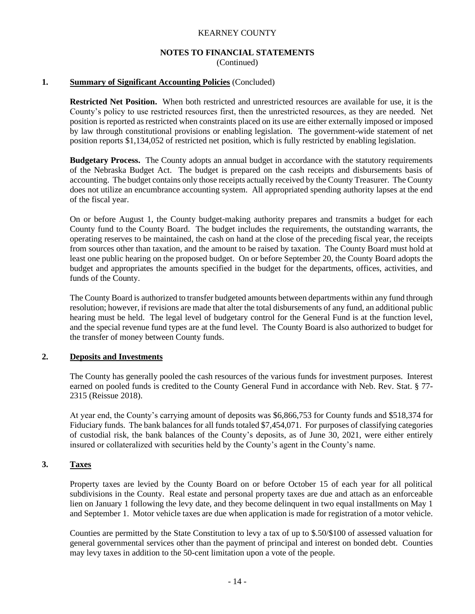### **NOTES TO FINANCIAL STATEMENTS**

(Continued)

#### **1. Summary of Significant Accounting Policies** (Concluded)

**Restricted Net Position.** When both restricted and unrestricted resources are available for use, it is the County's policy to use restricted resources first, then the unrestricted resources, as they are needed. Net position is reported as restricted when constraints placed on its use are either externally imposed or imposed by law through constitutional provisions or enabling legislation. The government-wide statement of net position reports \$1,134,052 of restricted net position, which is fully restricted by enabling legislation.

**Budgetary Process.** The County adopts an annual budget in accordance with the statutory requirements of the Nebraska Budget Act. The budget is prepared on the cash receipts and disbursements basis of accounting. The budget contains only those receipts actually received by the County Treasurer. The County does not utilize an encumbrance accounting system. All appropriated spending authority lapses at the end of the fiscal year.

On or before August 1, the County budget-making authority prepares and transmits a budget for each County fund to the County Board. The budget includes the requirements, the outstanding warrants, the operating reserves to be maintained, the cash on hand at the close of the preceding fiscal year, the receipts from sources other than taxation, and the amount to be raised by taxation. The County Board must hold at least one public hearing on the proposed budget. On or before September 20, the County Board adopts the budget and appropriates the amounts specified in the budget for the departments, offices, activities, and funds of the County.

The County Board is authorized to transfer budgeted amounts between departments within any fund through resolution; however, if revisions are made that alter the total disbursements of any fund, an additional public hearing must be held. The legal level of budgetary control for the General Fund is at the function level, and the special revenue fund types are at the fund level. The County Board is also authorized to budget for the transfer of money between County funds.

#### **2. Deposits and Investments**

The County has generally pooled the cash resources of the various funds for investment purposes. Interest earned on pooled funds is credited to the County General Fund in accordance with Neb. Rev. Stat. § 77- 2315 (Reissue 2018).

At year end, the County's carrying amount of deposits was \$6,866,753 for County funds and \$518,374 for Fiduciary funds. The bank balances for all funds totaled \$7,454,071. For purposes of classifying categories of custodial risk, the bank balances of the County's deposits, as of June 30, 2021, were either entirely insured or collateralized with securities held by the County's agent in the County's name.

## **3. Taxes**

Property taxes are levied by the County Board on or before October 15 of each year for all political subdivisions in the County. Real estate and personal property taxes are due and attach as an enforceable lien on January 1 following the levy date, and they become delinquent in two equal installments on May 1 and September 1. Motor vehicle taxes are due when application is made for registration of a motor vehicle.

Counties are permitted by the State Constitution to levy a tax of up to \$.50/\$100 of assessed valuation for general governmental services other than the payment of principal and interest on bonded debt. Counties may levy taxes in addition to the 50-cent limitation upon a vote of the people.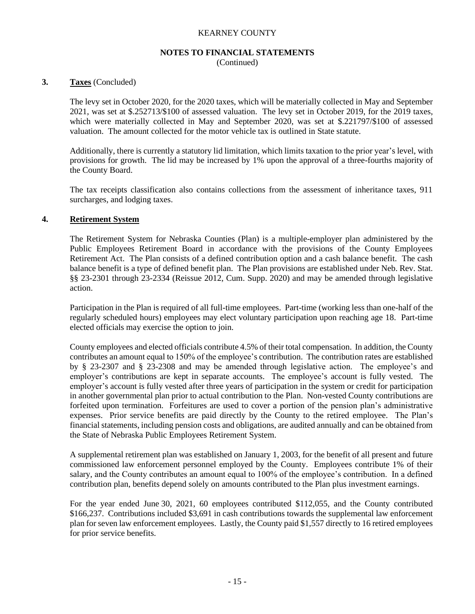#### **NOTES TO FINANCIAL STATEMENTS**

(Continued)

#### **3. Taxes** (Concluded)

The levy set in October 2020, for the 2020 taxes, which will be materially collected in May and September 2021, was set at \$.252713/\$100 of assessed valuation. The levy set in October 2019, for the 2019 taxes, which were materially collected in May and September 2020, was set at \$.221797/\$100 of assessed valuation. The amount collected for the motor vehicle tax is outlined in State statute.

Additionally, there is currently a statutory lid limitation, which limits taxation to the prior year's level, with provisions for growth. The lid may be increased by 1% upon the approval of a three-fourths majority of the County Board.

The tax receipts classification also contains collections from the assessment of inheritance taxes, 911 surcharges, and lodging taxes.

#### **4. Retirement System**

The Retirement System for Nebraska Counties (Plan) is a multiple-employer plan administered by the Public Employees Retirement Board in accordance with the provisions of the County Employees Retirement Act. The Plan consists of a defined contribution option and a cash balance benefit. The cash balance benefit is a type of defined benefit plan. The Plan provisions are established under Neb. Rev. Stat. §§ 23-2301 through 23-2334 (Reissue 2012, Cum. Supp. 2020) and may be amended through legislative action.

Participation in the Plan is required of all full-time employees. Part-time (working less than one-half of the regularly scheduled hours) employees may elect voluntary participation upon reaching age 18. Part-time elected officials may exercise the option to join.

County employees and elected officials contribute 4.5% of their total compensation. In addition, the County contributes an amount equal to 150% of the employee's contribution. The contribution rates are established by § 23-2307 and § 23-2308 and may be amended through legislative action. The employee's and employer's contributions are kept in separate accounts. The employee's account is fully vested. The employer's account is fully vested after three years of participation in the system or credit for participation in another governmental plan prior to actual contribution to the Plan. Non-vested County contributions are forfeited upon termination. Forfeitures are used to cover a portion of the pension plan's administrative expenses. Prior service benefits are paid directly by the County to the retired employee. The Plan's financial statements, including pension costs and obligations, are audited annually and can be obtained from the State of Nebraska Public Employees Retirement System.

A supplemental retirement plan was established on January 1, 2003, for the benefit of all present and future commissioned law enforcement personnel employed by the County. Employees contribute 1% of their salary, and the County contributes an amount equal to 100% of the employee's contribution. In a defined contribution plan, benefits depend solely on amounts contributed to the Plan plus investment earnings.

For the year ended June 30, 2021, 60 employees contributed \$112,055, and the County contributed \$166,237. Contributions included \$3,691 in cash contributions towards the supplemental law enforcement plan for seven law enforcement employees. Lastly, the County paid \$1,557 directly to 16 retired employees for prior service benefits.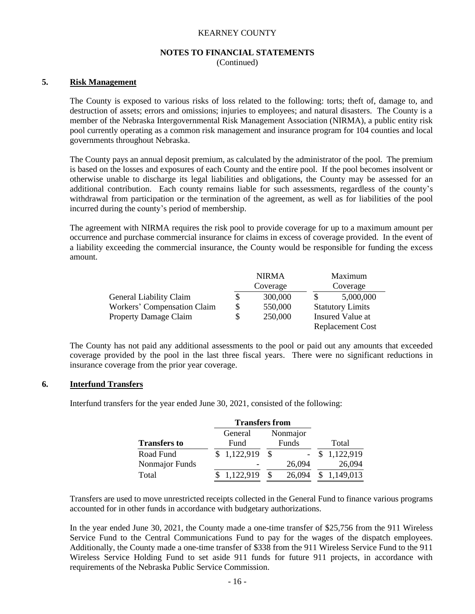#### **NOTES TO FINANCIAL STATEMENTS**

(Continued)

#### **5. Risk Management**

The County is exposed to various risks of loss related to the following: torts; theft of, damage to, and destruction of assets; errors and omissions; injuries to employees; and natural disasters. The County is a member of the Nebraska Intergovernmental Risk Management Association (NIRMA), a public entity risk pool currently operating as a common risk management and insurance program for 104 counties and local governments throughout Nebraska.

The County pays an annual deposit premium, as calculated by the administrator of the pool. The premium is based on the losses and exposures of each County and the entire pool. If the pool becomes insolvent or otherwise unable to discharge its legal liabilities and obligations, the County may be assessed for an additional contribution. Each county remains liable for such assessments, regardless of the county's withdrawal from participation or the termination of the agreement, as well as for liabilities of the pool incurred during the county's period of membership.

The agreement with NIRMA requires the risk pool to provide coverage for up to a maximum amount per occurrence and purchase commercial insurance for claims in excess of coverage provided. In the event of a liability exceeding the commercial insurance, the County would be responsible for funding the excess amount.

|                                |    | <b>NIRMA</b> |                         | Maximum                 |  |
|--------------------------------|----|--------------|-------------------------|-------------------------|--|
|                                |    | Coverage     | Coverage                |                         |  |
| <b>General Liability Claim</b> |    | 300,000      |                         | 5,000,000               |  |
| Workers' Compensation Claim    | \$ | 550,000      | <b>Statutory Limits</b> |                         |  |
| <b>Property Damage Claim</b>   | S  | 250,000      |                         | Insured Value at        |  |
|                                |    |              |                         | <b>Replacement Cost</b> |  |

The County has not paid any additional assessments to the pool or paid out any amounts that exceeded coverage provided by the pool in the last three fiscal years. There were no significant reductions in insurance coverage from the prior year coverage.

#### **6. Interfund Transfers**

Interfund transfers for the year ended June 30, 2021, consisted of the following:

|                     | <b>Transfers from</b> |        |             |  |  |  |
|---------------------|-----------------------|--------|-------------|--|--|--|
|                     | Nonmajor<br>General   |        |             |  |  |  |
| <b>Transfers to</b> | Fund                  | Funds  | Total       |  |  |  |
| Road Fund           | \$1,122,919           |        | 1,122,919   |  |  |  |
| Nonmajor Funds      |                       | 26,094 | 26,094      |  |  |  |
| Total               | 1,122,919             | 26,094 | \$1,149,013 |  |  |  |

Transfers are used to move unrestricted receipts collected in the General Fund to finance various programs accounted for in other funds in accordance with budgetary authorizations.

In the year ended June 30, 2021, the County made a one-time transfer of \$25,756 from the 911 Wireless Service Fund to the Central Communications Fund to pay for the wages of the dispatch employees. Additionally, the County made a one-time transfer of \$338 from the 911 Wireless Service Fund to the 911 Wireless Service Holding Fund to set aside 911 funds for future 911 projects, in accordance with requirements of the Nebraska Public Service Commission.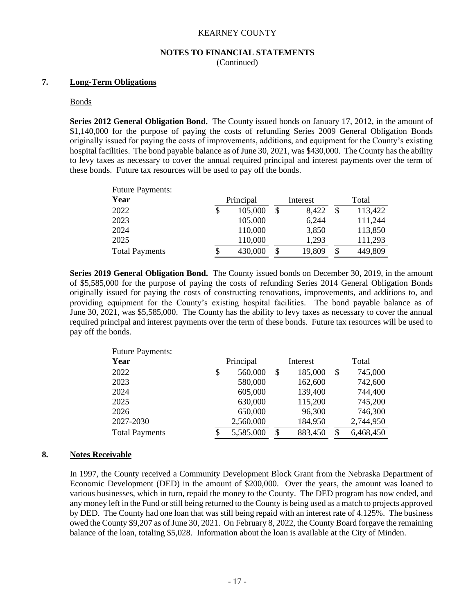### **NOTES TO FINANCIAL STATEMENTS**

(Continued)

#### **7. Long-Term Obligations**

#### Bonds

**Series 2012 General Obligation Bond.** The County issued bonds on January 17, 2012, in the amount of \$1,140,000 for the purpose of paying the costs of refunding Series 2009 General Obligation Bonds originally issued for paying the costs of improvements, additions, and equipment for the County's existing hospital facilities. The bond payable balance as of June 30, 2021, was \$430,000. The County has the ability to levy taxes as necessary to cover the annual required principal and interest payments over the term of these bonds. Future tax resources will be used to pay off the bonds.

| <b>Future Payments:</b> |                       |   |        |       |         |  |
|-------------------------|-----------------------|---|--------|-------|---------|--|
| Year                    | Principal<br>Interest |   |        | Total |         |  |
| 2022                    | \$<br>105,000         | S | 8,422  | S     | 113,422 |  |
| 2023                    | 105,000               |   | 6,244  |       | 111,244 |  |
| 2024                    | 110,000               |   | 3,850  |       | 113,850 |  |
| 2025                    | 110,000               |   | 1,293  |       | 111,293 |  |
| <b>Total Payments</b>   | 430,000               |   | 19,809 | \$    | 449,809 |  |

**Series 2019 General Obligation Bond.** The County issued bonds on December 30, 2019, in the amount of \$5,585,000 for the purpose of paying the costs of refunding Series 2014 General Obligation Bonds originally issued for paying the costs of constructing renovations, improvements, and additions to, and providing equipment for the County's existing hospital facilities. The bond payable balance as of June 30, 2021, was \$5,585,000. The County has the ability to levy taxes as necessary to cover the annual required principal and interest payments over the term of these bonds. Future tax resources will be used to pay off the bonds.

| <b>Future Payments:</b> |                 |               |               |
|-------------------------|-----------------|---------------|---------------|
| Year                    | Principal       | Interest      | Total         |
| 2022                    | \$<br>560,000   | \$<br>185,000 | \$<br>745,000 |
| 2023                    | 580,000         | 162,600       | 742,600       |
| 2024                    | 605,000         | 139,400       | 744,400       |
| 2025                    | 630,000         | 115,200       | 745,200       |
| 2026                    | 650,000         | 96,300        | 746,300       |
| 2027-2030               | 2,560,000       | 184,950       | 2,744,950     |
| <b>Total Payments</b>   | \$<br>5,585,000 | \$<br>883,450 | 6,468,450     |

#### **8. Notes Receivable**

In 1997, the County received a Community Development Block Grant from the Nebraska Department of Economic Development (DED) in the amount of \$200,000. Over the years, the amount was loaned to various businesses, which in turn, repaid the money to the County. The DED program has now ended, and any money left in the Fund or still being returned to the County is being used as a match to projects approved by DED. The County had one loan that was still being repaid with an interest rate of 4.125%. The business owed the County \$9,207 as of June 30, 2021. On February 8, 2022, the County Board forgave the remaining balance of the loan, totaling \$5,028. Information about the loan is available at the City of Minden.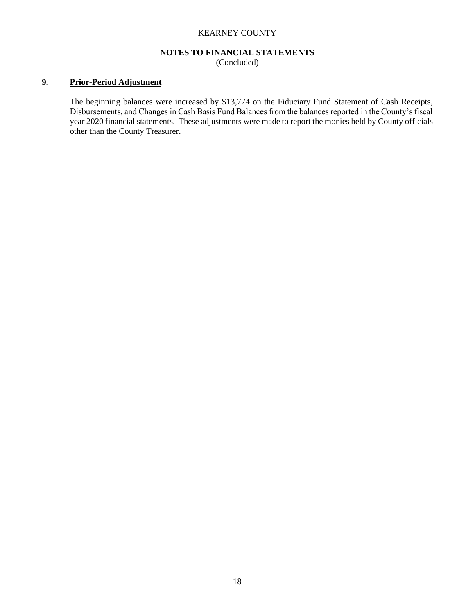#### **NOTES TO FINANCIAL STATEMENTS**

(Concluded)

#### **9. Prior-Period Adjustment**

The beginning balances were increased by \$13,774 on the Fiduciary Fund Statement of Cash Receipts, Disbursements, and Changes in Cash Basis Fund Balances from the balances reported in the County's fiscal year 2020 financial statements. These adjustments were made to report the monies held by County officials other than the County Treasurer.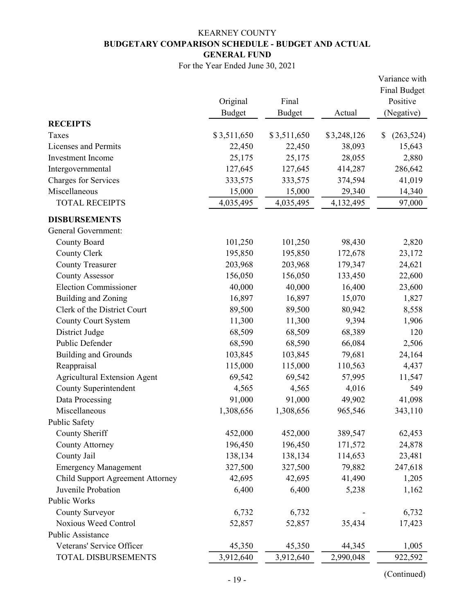## KEARNEY COUNTY BUDGETARY COMPARISON SCHEDULE - BUDGET AND ACTUAL GENERAL FUND

For the Year Ended June 30, 2021

|                                     |               |               |             | Variance with       |
|-------------------------------------|---------------|---------------|-------------|---------------------|
|                                     |               |               |             | <b>Final Budget</b> |
|                                     | Original      | Final         |             | Positive            |
|                                     | <b>Budget</b> | <b>Budget</b> | Actual      | (Negative)          |
| <b>RECEIPTS</b>                     |               |               |             |                     |
| Taxes                               | \$3,511,650   | \$3,511,650   | \$3,248,126 | \$<br>(263, 524)    |
| Licenses and Permits                | 22,450        | 22,450        | 38,093      | 15,643              |
| <b>Investment</b> Income            | 25,175        | 25,175        | 28,055      | 2,880               |
| Intergovernmental                   | 127,645       | 127,645       | 414,287     | 286,642             |
| <b>Charges for Services</b>         | 333,575       | 333,575       | 374,594     | 41,019              |
| Miscellaneous                       | 15,000        | 15,000        | 29,340      | 14,340              |
| <b>TOTAL RECEIPTS</b>               | 4,035,495     | 4,035,495     | 4,132,495   | 97,000              |
| <b>DISBURSEMENTS</b>                |               |               |             |                     |
| <b>General Government:</b>          |               |               |             |                     |
| County Board                        | 101,250       | 101,250       | 98,430      | 2,820               |
| <b>County Clerk</b>                 | 195,850       | 195,850       | 172,678     | 23,172              |
| <b>County Treasurer</b>             | 203,968       | 203,968       | 179,347     | 24,621              |
| <b>County Assessor</b>              | 156,050       | 156,050       | 133,450     | 22,600              |
| <b>Election Commissioner</b>        | 40,000        | 40,000        | 16,400      | 23,600              |
| Building and Zoning                 | 16,897        | 16,897        | 15,070      | 1,827               |
| Clerk of the District Court         | 89,500        | 89,500        | 80,942      | 8,558               |
| <b>County Court System</b>          | 11,300        | 11,300        | 9,394       | 1,906               |
| District Judge                      | 68,509        | 68,509        | 68,389      | 120                 |
| Public Defender                     | 68,590        | 68,590        | 66,084      | 2,506               |
| <b>Building and Grounds</b>         | 103,845       | 103,845       | 79,681      | 24,164              |
| Reappraisal                         | 115,000       | 115,000       | 110,563     | 4,437               |
| <b>Agricultural Extension Agent</b> | 69,542        | 69,542        | 57,995      | 11,547              |
| County Superintendent               | 4,565         | 4,565         | 4,016       | 549                 |
| Data Processing                     | 91,000        | 91,000        | 49,902      | 41,098              |
| Miscellaneous                       | 1,308,656     | 1,308,656     | 965,546     | 343,110             |
| Public Safety                       |               |               |             |                     |
| County Sheriff                      | 452,000       | 452,000       | 389,547     | 62,453              |
| <b>County Attorney</b>              | 196,450       | 196,450       | 171,572     | 24,878              |
| County Jail                         | 138,134       | 138,134       | 114,653     | 23,481              |
| <b>Emergency Management</b>         | 327,500       | 327,500       | 79,882      | 247,618             |
| Child Support Agreement Attorney    | 42,695        | 42,695        | 41,490      | 1,205               |
| Juvenile Probation                  | 6,400         | 6,400         | 5,238       | 1,162               |
| Public Works                        |               |               |             |                     |
| County Surveyor                     | 6,732         | 6,732         |             | 6,732               |
| Noxious Weed Control                | 52,857        | 52,857        | 35,434      | 17,423              |
| Public Assistance                   |               |               |             |                     |
| Veterans' Service Officer           | 45,350        | 45,350        | 44,345      | 1,005               |
| TOTAL DISBURSEMENTS                 | 3,912,640     | 3,912,640     | 2,990,048   | 922,592             |

(Continued) - 19 -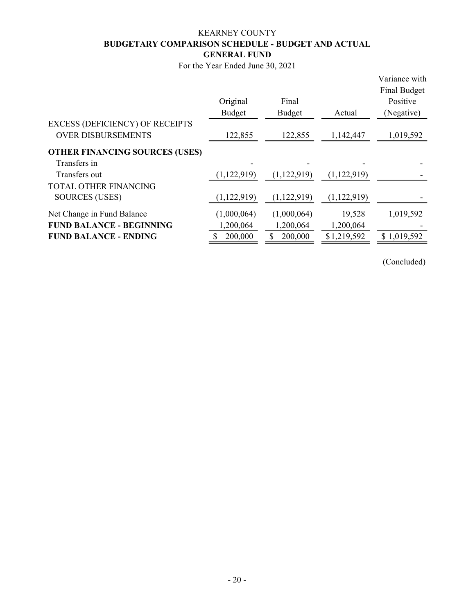## KEARNEY COUNTY BUDGETARY COMPARISON SCHEDULE - BUDGET AND ACTUAL GENERAL FUND

For the Year Ended June 30, 2021

|                                        | Original<br>Budget | Final<br>Budget | Actual      | Variance with<br>Final Budget<br>Positive<br>(Negative) |
|----------------------------------------|--------------------|-----------------|-------------|---------------------------------------------------------|
| <b>EXCESS (DEFICIENCY) OF RECEIPTS</b> |                    |                 |             |                                                         |
| <b>OVER DISBURSEMENTS</b>              | 122,855            | 122,855         | 1,142,447   | 1,019,592                                               |
| <b>OTHER FINANCING SOURCES (USES)</b>  |                    |                 |             |                                                         |
| Transfers in                           |                    |                 |             |                                                         |
| Transfers out                          | (1,122,919)        | (1,122,919)     | (1,122,919) |                                                         |
| <b>TOTAL OTHER FINANCING</b>           |                    |                 |             |                                                         |
| <b>SOURCES (USES)</b>                  | (1,122,919)        | (1,122,919)     | (1,122,919) |                                                         |
| Net Change in Fund Balance             | (1,000,064)        | (1,000,064)     | 19,528      | 1,019,592                                               |
| <b>FUND BALANCE - BEGINNING</b>        | 1,200,064          | 1,200,064       | 1,200,064   |                                                         |
| <b>FUND BALANCE - ENDING</b>           | 200,000            | \$<br>200,000   | \$1,219,592 | \$1,019,592                                             |
|                                        |                    |                 |             |                                                         |

(Concluded)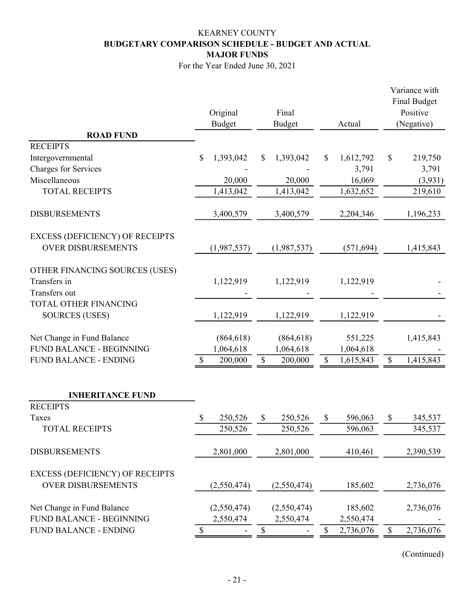## KEARNEY COUNTY BUDGETARY COMPARISON SCHEDULE - BUDGET AND ACTUAL MAJOR FUNDS

For the Year Ended June 30, 2021

|                                        |                           | Original<br><b>Budget</b> | Final<br><b>Budget</b> |                           | Actual     |              | Variance with<br>Final Budget<br>Positive<br>(Negative) |
|----------------------------------------|---------------------------|---------------------------|------------------------|---------------------------|------------|--------------|---------------------------------------------------------|
| <b>ROAD FUND</b>                       |                           |                           |                        |                           |            |              |                                                         |
| <b>RECEIPTS</b>                        |                           |                           |                        |                           |            |              |                                                         |
| Intergovernmental                      | \$                        | 1,393,042                 | \$<br>1,393,042        | \$                        | 1,612,792  | $\mathbb{S}$ | 219,750                                                 |
| <b>Charges for Services</b>            |                           |                           |                        |                           | 3,791      |              | 3,791                                                   |
| Miscellaneous                          |                           | 20,000                    | 20,000                 |                           | 16,069     |              | (3,931)                                                 |
| <b>TOTAL RECEIPTS</b>                  |                           | 1,413,042                 | 1,413,042              |                           | 1,632,652  |              | 219,610                                                 |
| <b>DISBURSEMENTS</b>                   |                           | 3,400,579                 | 3,400,579              |                           | 2,204,346  |              | 1,196,233                                               |
| <b>EXCESS (DEFICIENCY) OF RECEIPTS</b> |                           |                           |                        |                           |            |              |                                                         |
| <b>OVER DISBURSEMENTS</b>              |                           | (1,987,537)               | (1,987,537)            |                           | (571, 694) |              | 1,415,843                                               |
| OTHER FINANCING SOURCES (USES)         |                           |                           |                        |                           |            |              |                                                         |
| Transfers in                           |                           | 1,122,919                 | 1,122,919              |                           | 1,122,919  |              |                                                         |
| Transfers out                          |                           |                           |                        |                           |            |              |                                                         |
| TOTAL OTHER FINANCING                  |                           |                           |                        |                           |            |              |                                                         |
| <b>SOURCES (USES)</b>                  |                           | 1,122,919                 | 1,122,919              |                           | 1,122,919  |              |                                                         |
| Net Change in Fund Balance             |                           | (864, 618)                | (864, 618)             |                           | 551,225    |              | 1,415,843                                               |
| <b>FUND BALANCE - BEGINNING</b>        |                           | 1,064,618                 | 1,064,618              |                           | 1,064,618  |              |                                                         |
| <b>FUND BALANCE - ENDING</b>           | $\boldsymbol{\mathsf{S}}$ | 200,000                   | \$<br>200,000          | $\mathbb{S}$              | 1,615,843  | $\mathbb S$  | 1,415,843                                               |
| <b>INHERITANCE FUND</b>                |                           |                           |                        |                           |            |              |                                                         |
| <b>RECEIPTS</b>                        |                           |                           |                        |                           |            |              |                                                         |
| Taxes                                  | \$                        | 250,526                   | \$<br>250,526          | $\mathbb{S}$              | 596,063    | \$           | 345,537                                                 |
| <b>TOTAL RECEIPTS</b>                  |                           | 250,526                   | 250,526                |                           | 596,063    |              | 345,537                                                 |
| <b>DISBURSEMENTS</b>                   |                           | 2,801,000                 | 2,801,000              |                           | 410,461    |              | 2,390,539                                               |
| <b>EXCESS (DEFICIENCY) OF RECEIPTS</b> |                           |                           |                        |                           |            |              |                                                         |
| <b>OVER DISBURSEMENTS</b>              |                           | (2,550,474)               | (2,550,474)            |                           | 185,602    |              | 2,736,076                                               |
| Net Change in Fund Balance             |                           | (2,550,474)               | (2,550,474)            |                           | 185,602    |              | 2,736,076                                               |
| FUND BALANCE - BEGINNING               |                           | 2,550,474                 | 2,550,474              |                           | 2,550,474  |              |                                                         |
| <b>FUND BALANCE - ENDING</b>           | \$                        |                           | \$                     | $\boldsymbol{\mathsf{S}}$ | 2,736,076  | \$           | 2,736,076                                               |
|                                        |                           |                           |                        |                           |            |              |                                                         |

(Continued)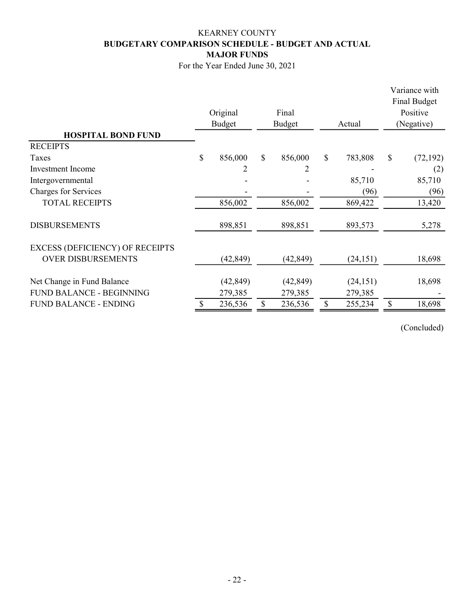## KEARNEY COUNTY BUDGETARY COMPARISON SCHEDULE - BUDGET AND ACTUAL MAJOR FUNDS

For the Year Ended June 30, 2021

|                                        |    |           |              |           |              |           |            | Variance with<br>Final Budget |  |  |
|----------------------------------------|----|-----------|--------------|-----------|--------------|-----------|------------|-------------------------------|--|--|
|                                        |    | Original  |              | Final     |              |           | Positive   |                               |  |  |
|                                        |    | Budget    | Budget       |           |              | Actual    | (Negative) |                               |  |  |
| <b>HOSPITAL BOND FUND</b>              |    |           |              |           |              |           |            |                               |  |  |
| <b>RECEIPTS</b>                        |    |           |              |           |              |           |            |                               |  |  |
| Taxes                                  | \$ | 856,000   | $\mathbb{S}$ | 856,000   | $\mathbb{S}$ | 783,808   | \$         | (72, 192)                     |  |  |
| Investment Income                      |    |           |              |           |              |           |            | (2)                           |  |  |
| Intergovernmental                      |    |           |              |           |              | 85,710    |            | 85,710                        |  |  |
| Charges for Services                   |    |           |              |           |              | (96)      |            | (96)                          |  |  |
| <b>TOTAL RECEIPTS</b>                  |    | 856,002   |              | 856,002   |              | 869,422   |            | 13,420                        |  |  |
| <b>DISBURSEMENTS</b>                   |    | 898,851   |              | 898,851   |              | 893,573   |            | 5,278                         |  |  |
| <b>EXCESS (DEFICIENCY) OF RECEIPTS</b> |    |           |              |           |              |           |            |                               |  |  |
| <b>OVER DISBURSEMENTS</b>              |    | (42, 849) |              | (42, 849) |              | (24, 151) |            | 18,698                        |  |  |
| Net Change in Fund Balance             |    | (42, 849) |              | (42, 849) |              | (24, 151) |            | 18,698                        |  |  |
| <b>FUND BALANCE - BEGINNING</b>        |    | 279,385   |              | 279,385   |              | 279,385   |            |                               |  |  |
| <b>FUND BALANCE - ENDING</b>           |    | 236,536   | \$           | 236,536   | \$           | 255,234   |            | 18,698                        |  |  |

(Concluded)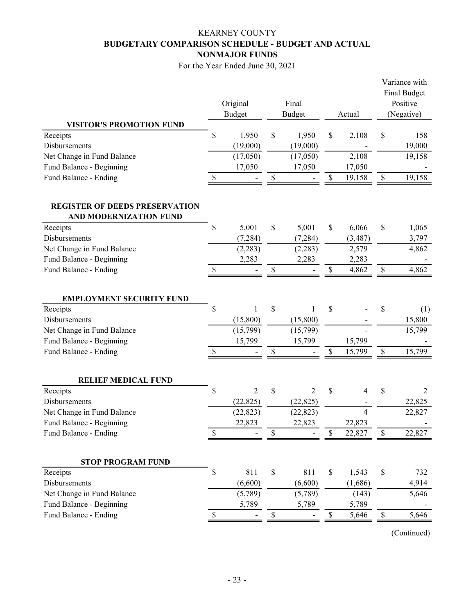## KEARNEY COUNTY BUDGETARY COMPARISON SCHEDULE - BUDGET AND ACTUAL NONMAJOR FUNDS

For the Year Ended June 30, 2021

|                                                                 |             | Original<br><b>Budget</b> |      | Final<br><b>Budget</b> |              | Actual                   | Variance with<br><b>Final Budget</b><br>Positive<br>(Negative) |               |  |
|-----------------------------------------------------------------|-------------|---------------------------|------|------------------------|--------------|--------------------------|----------------------------------------------------------------|---------------|--|
| <b>VISITOR'S PROMOTION FUND</b>                                 |             |                           |      |                        |              |                          |                                                                |               |  |
| Receipts<br>Disbursements                                       | \$          | 1,950                     | \$   | 1,950                  | \$           | 2,108                    | \$                                                             | 158<br>19,000 |  |
| Net Change in Fund Balance                                      |             | (19,000)<br>(17,050)      |      | (19,000)<br>(17,050)   |              | 2,108                    |                                                                | 19,158        |  |
| Fund Balance - Beginning                                        |             | 17,050                    |      | 17,050                 |              | 17,050                   |                                                                |               |  |
| Fund Balance - Ending                                           | \$          |                           | \$   |                        | \$           | 19,158                   | $\mathbb{S}$                                                   | 19,158        |  |
|                                                                 |             |                           |      |                        |              |                          |                                                                |               |  |
| <b>REGISTER OF DEEDS PRESERVATION</b><br>AND MODERNIZATION FUND |             |                           |      |                        |              |                          |                                                                |               |  |
| Receipts                                                        | \$          | 5,001                     | \$   | 5,001                  | \$           | 6,066                    | \$                                                             | 1,065         |  |
| Disbursements                                                   |             | (7, 284)                  |      | (7, 284)               |              | (3, 487)                 |                                                                | 3,797         |  |
| Net Change in Fund Balance                                      |             | (2, 283)                  |      | (2, 283)               |              | 2,579                    |                                                                | 4,862         |  |
| Fund Balance - Beginning                                        |             | 2,283                     |      | 2,283                  |              | 2,283                    |                                                                |               |  |
| Fund Balance - Ending                                           | $\mathbb S$ |                           | $\$$ |                        | $\$$         | 4,862                    | $\mathbb{S}% _{n}^{X\rightarrow\mathbb{R}}$                    | 4,862         |  |
| <b>EMPLOYMENT SECURITY FUND</b>                                 |             |                           |      |                        |              |                          |                                                                |               |  |
| Receipts                                                        | \$          |                           | \$   |                        | \$           |                          | \$                                                             | (1)           |  |
| Disbursements                                                   |             | (15,800)                  |      | (15,800)               |              |                          |                                                                | 15,800        |  |
| Net Change in Fund Balance                                      |             | (15,799)                  |      | (15,799)               |              |                          |                                                                | 15,799        |  |
| Fund Balance - Beginning                                        |             | 15,799                    |      | 15,799                 |              | 15,799                   |                                                                |               |  |
| Fund Balance - Ending                                           | \$          |                           | \$   |                        | \$           | 15,799                   | $\mathbb{S}$                                                   | 15,799        |  |
| <b>RELIEF MEDICAL FUND</b>                                      |             |                           |      |                        |              |                          |                                                                |               |  |
| Receipts                                                        | \$          | 2                         | \$   | 2                      | \$           | 4                        | \$                                                             | 2             |  |
| Disbursements                                                   |             | (22, 825)                 |      | (22, 825)              |              |                          |                                                                | 22,825        |  |
| Net Change in Fund Balance                                      |             | (22, 823)                 |      | (22, 823)              |              | $\overline{\mathcal{L}}$ |                                                                | 22,827        |  |
| Fund Balance - Beginning                                        |             | 22,823                    |      | 22,823                 |              | 22,823                   |                                                                |               |  |
| Fund Balance - Ending                                           | \$          |                           | \$   |                        | \$           | 22,827                   | \$                                                             | 22,827        |  |
| <b>STOP PROGRAM FUND</b>                                        |             |                           |      |                        |              |                          |                                                                |               |  |
| Receipts                                                        | \$          | 811                       | $\$$ | 811                    | $\mathbb{S}$ | 1,543                    | $\$$                                                           | 732           |  |
| Disbursements                                                   |             | (6,600)                   |      | (6,600)                |              | (1,686)                  |                                                                | 4,914         |  |
| Net Change in Fund Balance                                      |             | (5,789)                   |      | (5,789)                |              | (143)                    |                                                                | 5,646         |  |
| Fund Balance - Beginning                                        |             | 5,789                     |      | 5,789                  |              | 5,789                    |                                                                |               |  |
| Fund Balance - Ending                                           | \$          |                           | $\$$ |                        | $\$$         | 5,646                    | \$                                                             | 5,646         |  |
|                                                                 |             |                           |      |                        |              |                          |                                                                |               |  |

(Continued)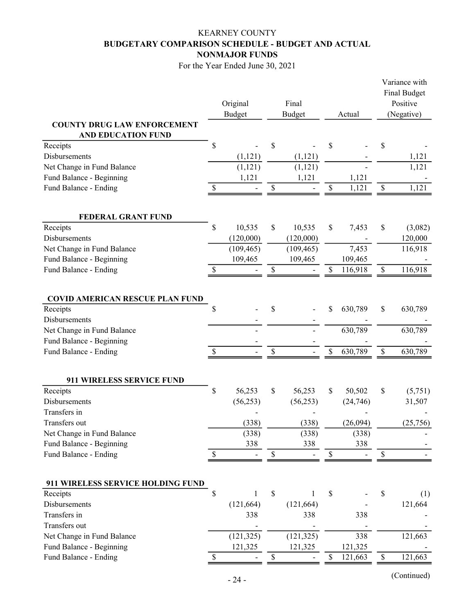## KEARNEY COUNTY BUDGETARY COMPARISON SCHEDULE - BUDGET AND ACTUAL NONMAJOR FUNDS

For the Year Ended June 30, 2021

|                                                                 |               | Original<br><b>Budget</b> | Final<br><b>Budget</b> | Actual                   | Variance with<br>Final Budget<br>Positive<br>(Negative) |          |  |
|-----------------------------------------------------------------|---------------|---------------------------|------------------------|--------------------------|---------------------------------------------------------|----------|--|
| <b>COUNTY DRUG LAW ENFORCEMENT</b><br><b>AND EDUCATION FUND</b> |               |                           |                        |                          |                                                         |          |  |
| Receipts                                                        | \$            |                           | \$                     | \$                       | \$                                                      |          |  |
| Disbursements                                                   |               | (1, 121)                  | (1, 121)               |                          |                                                         | 1,121    |  |
| Net Change in Fund Balance                                      |               | (1, 121)                  | (1, 121)               |                          |                                                         | 1,121    |  |
| Fund Balance - Beginning<br>Fund Balance - Ending               | \$            | 1,121                     | \$<br>1,121            | \$<br>1,121<br>1,121     | $\$$                                                    | 1,121    |  |
|                                                                 |               |                           |                        |                          |                                                         |          |  |
| FEDERAL GRANT FUND                                              |               |                           |                        |                          |                                                         |          |  |
| Receipts                                                        | \$            | 10,535                    | \$<br>10,535           | \$<br>7,453              | \$                                                      | (3,082)  |  |
| Disbursements                                                   |               | (120,000)                 | (120,000)              |                          |                                                         | 120,000  |  |
| Net Change in Fund Balance                                      |               | (109, 465)                | (109, 465)             | 7,453                    |                                                         | 116,918  |  |
| Fund Balance - Beginning<br>Fund Balance - Ending               |               | 109,465                   | 109,465                | \$<br>109,465<br>116,918 | \$                                                      | 116,918  |  |
|                                                                 | \$            |                           | \$                     |                          |                                                         |          |  |
| <b>COVID AMERICAN RESCUE PLAN FUND</b>                          |               |                           |                        |                          |                                                         |          |  |
| Receipts                                                        | \$            |                           | \$                     | \$<br>630,789            | \$                                                      | 630,789  |  |
| Disbursements                                                   |               |                           |                        |                          |                                                         |          |  |
| Net Change in Fund Balance                                      |               |                           |                        | 630,789                  |                                                         | 630,789  |  |
| Fund Balance - Beginning                                        |               |                           |                        |                          |                                                         |          |  |
| Fund Balance - Ending                                           | <sup>\$</sup> |                           | \$                     | \$<br>630,789            | $\$$                                                    | 630,789  |  |
| 911 WIRELESS SERVICE FUND                                       |               |                           |                        |                          |                                                         |          |  |
| Receipts                                                        | \$            | 56,253                    | \$<br>56,253           | \$<br>50,502             | \$                                                      | (5,751)  |  |
| Disbursements                                                   |               | (56, 253)                 | (56, 253)              | (24,746)                 |                                                         | 31,507   |  |
| Transfers in                                                    |               |                           |                        |                          |                                                         |          |  |
| Transfers out                                                   |               | (338)                     | (338)                  | (26,094)                 |                                                         | (25,756) |  |
| Net Change in Fund Balance                                      |               | (338)                     | (338)                  | (338)                    |                                                         |          |  |
| Fund Balance - Beginning                                        |               | 338                       | 338                    | 338                      |                                                         |          |  |
| Fund Balance - Ending                                           | \$            |                           | \$                     | \$                       | \$                                                      |          |  |
| 911 WIRELESS SERVICE HOLDING FUND                               |               |                           |                        |                          |                                                         |          |  |
| Receipts                                                        | \$            | 1                         | \$                     | \$                       | \$                                                      | (1)      |  |
| Disbursements                                                   |               | (121, 664)                | (121, 664)             |                          |                                                         | 121,664  |  |
| Transfers in                                                    |               | 338                       | 338                    | 338                      |                                                         |          |  |
| Transfers out                                                   |               |                           |                        |                          |                                                         |          |  |
| Net Change in Fund Balance                                      |               | (121, 325)                | (121, 325)             | 338                      |                                                         | 121,663  |  |
| Fund Balance - Beginning                                        |               | 121,325                   | 121,325                | 121,325                  |                                                         |          |  |
| Fund Balance - Ending                                           | S             |                           | \$                     | \$<br>121,663            | \$                                                      | 121,663  |  |

(Continued)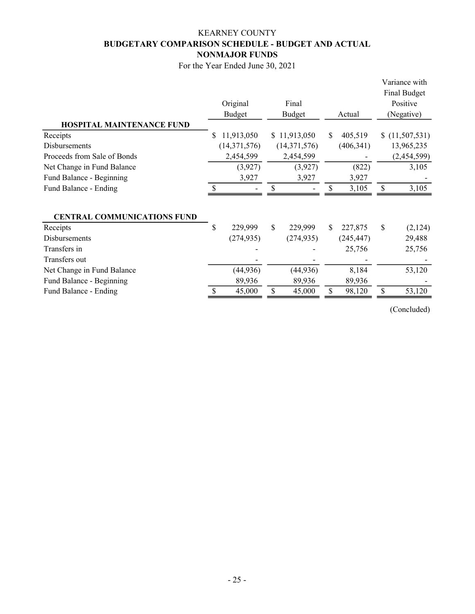## KEARNEY COUNTY BUDGETARY COMPARISON SCHEDULE - BUDGET AND ACTUAL NONMAJOR FUNDS

For the Year Ended June 30, 2021

|                                    |    | Original<br>Budget | Final<br><b>Budget</b> |     | Actual     |              | Variance with<br>Final Budget<br>Positive<br>(Negative) |
|------------------------------------|----|--------------------|------------------------|-----|------------|--------------|---------------------------------------------------------|
| <b>HOSPITAL MAINTENANCE FUND</b>   |    |                    |                        |     |            |              |                                                         |
| Receipts                           | S  | 11,913,050         | \$11,913,050           | S.  | 405,519    | S.           | (11,507,531)                                            |
| <b>Disbursements</b>               |    | (14, 371, 576)     | (14,371,576)           |     | (406, 341) |              | 13,965,235                                              |
| Proceeds from Sale of Bonds        |    | 2,454,599          | 2,454,599              |     |            |              | (2,454,599)                                             |
| Net Change in Fund Balance         |    | (3,927)            | (3,927)                |     | (822)      |              | 3,105                                                   |
| Fund Balance - Beginning           |    | 3,927              | 3,927                  |     | 3,927      |              |                                                         |
| Fund Balance - Ending              | \$ |                    | \$                     | S   | 3,105      | \$           | 3,105                                                   |
| <b>CENTRAL COMMUNICATIONS FUND</b> |    |                    |                        |     |            |              |                                                         |
| Receipts                           | \$ | 229,999            | \$<br>229,999          | S.  | 227,875    | $\mathbb{S}$ | (2,124)                                                 |
| <b>Disbursements</b>               |    | (274, 935)         | (274, 935)             |     | (245, 447) |              | 29,488                                                  |
| Transfers in                       |    |                    |                        |     | 25,756     |              | 25,756                                                  |
| Transfers out                      |    |                    |                        |     |            |              |                                                         |
| Net Change in Fund Balance         |    | (44, 936)          | (44, 936)              |     | 8,184      |              | 53,120                                                  |
| Fund Balance - Beginning           |    | 89,936             | 89,936                 |     | 89,936     |              |                                                         |
| Fund Balance - Ending              |    | 45,000             | \$<br>45,000           | \$. | 98,120     | \$           | 53,120                                                  |

(Concluded)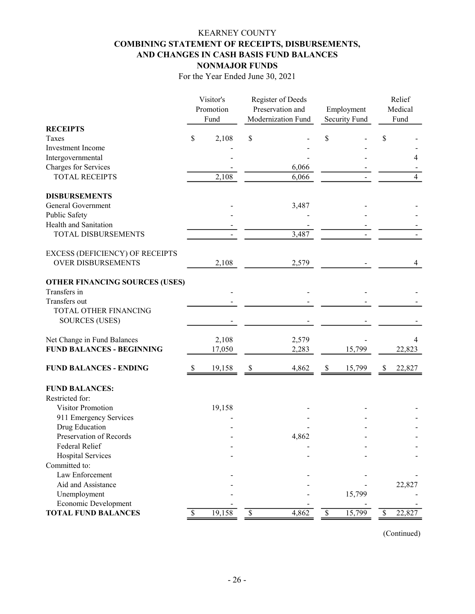## KEARNEY COUNTY COMBINING STATEMENT OF RECEIPTS, DISBURSEMENTS, AND CHANGES IN CASH BASIS FUND BALANCES NONMAJOR FUNDS

For the Year Ended June 30, 2021

|                                                    |    | Visitor's |                           | Register of Deeds  |                           |               | Relief  |                |  |
|----------------------------------------------------|----|-----------|---------------------------|--------------------|---------------------------|---------------|---------|----------------|--|
|                                                    |    | Promotion |                           | Preservation and   |                           | Employment    | Medical |                |  |
|                                                    |    | Fund      |                           | Modernization Fund |                           | Security Fund |         | Fund           |  |
| <b>RECEIPTS</b>                                    |    |           |                           |                    |                           |               |         |                |  |
| Taxes                                              | \$ | 2,108     | \$                        |                    | \$                        |               | \$      |                |  |
| Investment Income                                  |    |           |                           |                    |                           |               |         |                |  |
| Intergovernmental                                  |    |           |                           |                    |                           |               |         | 4              |  |
| Charges for Services                               |    |           |                           | 6,066              |                           |               |         |                |  |
| <b>TOTAL RECEIPTS</b>                              |    | 2,108     |                           | 6,066              |                           |               |         | $\overline{4}$ |  |
| <b>DISBURSEMENTS</b>                               |    |           |                           |                    |                           |               |         |                |  |
| General Government                                 |    |           |                           | 3,487              |                           |               |         |                |  |
| Public Safety                                      |    |           |                           |                    |                           |               |         |                |  |
| Health and Sanitation                              |    |           |                           |                    |                           |               |         |                |  |
| TOTAL DISBURSEMENTS                                |    |           |                           | 3,487              |                           |               |         |                |  |
|                                                    |    |           |                           |                    |                           |               |         |                |  |
| <b>EXCESS (DEFICIENCY) OF RECEIPTS</b>             |    |           |                           |                    |                           |               |         |                |  |
| <b>OVER DISBURSEMENTS</b>                          |    | 2,108     |                           | 2,579              |                           |               |         | 4              |  |
| <b>OTHER FINANCING SOURCES (USES)</b>              |    |           |                           |                    |                           |               |         |                |  |
| Transfers in                                       |    |           |                           |                    |                           |               |         |                |  |
| Transfers out                                      |    |           |                           |                    |                           |               |         |                |  |
| TOTAL OTHER FINANCING                              |    |           |                           |                    |                           |               |         |                |  |
| <b>SOURCES (USES)</b>                              |    |           |                           |                    |                           |               |         |                |  |
|                                                    |    |           |                           |                    |                           |               |         |                |  |
| Net Change in Fund Balances                        |    | 2,108     |                           | 2,579              |                           |               |         | 4              |  |
| <b>FUND BALANCES - BEGINNING</b>                   |    | 17,050    |                           | 2,283              |                           | 15,799        |         | 22,823         |  |
| <b>FUND BALANCES - ENDING</b>                      | S  | 19,158    | \$                        | 4,862              | \$                        | 15,799        | \$      | 22,827         |  |
| <b>FUND BALANCES:</b>                              |    |           |                           |                    |                           |               |         |                |  |
| Restricted for:                                    |    |           |                           |                    |                           |               |         |                |  |
| Visitor Promotion                                  |    |           |                           |                    |                           |               |         |                |  |
|                                                    |    | 19,158    |                           |                    |                           |               |         |                |  |
| 911 Emergency Services<br>Drug Education           |    |           |                           |                    |                           |               |         |                |  |
| Preservation of Records                            |    |           |                           | 4,862              |                           |               |         |                |  |
| <b>Federal Relief</b>                              |    |           |                           |                    |                           |               |         |                |  |
|                                                    |    |           |                           |                    |                           |               |         |                |  |
| <b>Hospital Services</b><br>Committed to:          |    |           |                           |                    |                           |               |         |                |  |
|                                                    |    |           |                           |                    |                           |               |         |                |  |
| Law Enforcement                                    |    |           |                           |                    |                           |               |         |                |  |
| Aid and Assistance                                 |    |           |                           |                    |                           |               |         | 22,827         |  |
| Unemployment                                       |    |           |                           |                    |                           | 15,799        |         |                |  |
| Economic Development<br><b>TOTAL FUND BALANCES</b> | \$ | 19,158    | $\boldsymbol{\mathsf{S}}$ | 4,862              | $\boldsymbol{\mathsf{S}}$ | 15,799        | \$      | 22,827         |  |
|                                                    |    |           |                           |                    |                           |               |         |                |  |

(Continued)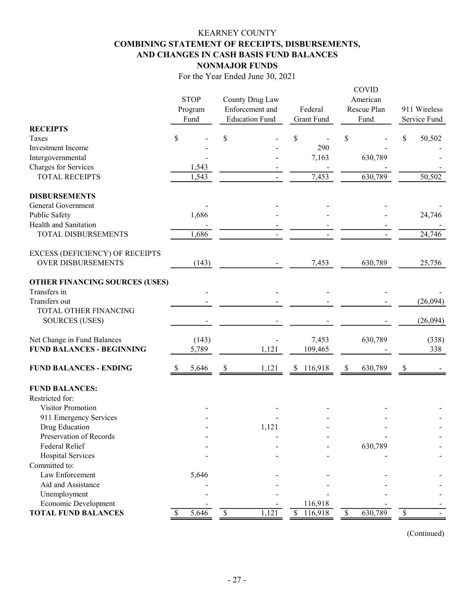## KEARNEY COUNTY COMBINING STATEMENT OF RECEIPTS, DISBURSEMENTS, AND CHANGES IN CASH BASIS FUND BALANCES NONMAJOR FUNDS

For the Year Ended June 30, 2021

| <b>RECEIPTS</b>                                                 | <b>STOP</b><br>Program<br>Fund |                | County Drug Law<br>Enforcement and<br><b>Education Fund</b> |                          | Federal<br><b>Grant Fund</b> | <b>COVID</b><br>American<br>Rescue Plan<br>Fund | 911 Wireless<br>Service Fund |
|-----------------------------------------------------------------|--------------------------------|----------------|-------------------------------------------------------------|--------------------------|------------------------------|-------------------------------------------------|------------------------------|
| Taxes                                                           | \$                             |                | \$                                                          | \$                       |                              | \$                                              | \$<br>50,502                 |
| Investment Income                                               |                                |                |                                                             |                          | 290                          |                                                 |                              |
| Intergovernmental                                               |                                |                |                                                             |                          | 7,163                        | 630,789                                         |                              |
| Charges for Services                                            |                                | 1,543          |                                                             |                          |                              |                                                 |                              |
| <b>TOTAL RECEIPTS</b>                                           |                                | 1,543          |                                                             |                          | 7,453                        | 630,789                                         | 50,502                       |
| <b>DISBURSEMENTS</b>                                            |                                |                |                                                             |                          |                              |                                                 |                              |
| General Government                                              |                                |                |                                                             |                          |                              |                                                 |                              |
| Public Safety                                                   |                                | 1,686          |                                                             |                          |                              |                                                 | 24,746                       |
| Health and Sanitation                                           |                                |                |                                                             |                          |                              |                                                 |                              |
| TOTAL DISBURSEMENTS                                             |                                | 1,686          |                                                             |                          |                              |                                                 | 24,746                       |
| EXCESS (DEFICIENCY) OF RECEIPTS<br><b>OVER DISBURSEMENTS</b>    |                                | (143)          |                                                             |                          | 7,453                        | 630,789                                         | 25,756                       |
| <b>OTHER FINANCING SOURCES (USES)</b>                           |                                |                |                                                             |                          |                              |                                                 |                              |
| Transfers in                                                    |                                |                |                                                             |                          |                              |                                                 |                              |
| Transfers out                                                   |                                |                |                                                             |                          |                              |                                                 | (26,094)                     |
| TOTAL OTHER FINANCING                                           |                                |                |                                                             |                          |                              |                                                 |                              |
| <b>SOURCES (USES)</b>                                           |                                |                |                                                             |                          |                              |                                                 | (26,094)                     |
| Net Change in Fund Balances<br><b>FUND BALANCES - BEGINNING</b> |                                | (143)<br>5,789 | 1,121                                                       |                          | 7,453<br>109,465             | 630,789                                         | (338)<br>338                 |
| <b>FUND BALANCES - ENDING</b>                                   | <sup>S</sup>                   | 5,646          | \$<br>1,121                                                 | <sup>S</sup>             | 116,918                      | \$<br>630,789                                   | \$                           |
| <b>FUND BALANCES:</b><br>Restricted for:                        |                                |                |                                                             |                          |                              |                                                 |                              |
| Visitor Promotion                                               |                                |                |                                                             |                          |                              |                                                 |                              |
| 911 Emergency Services                                          |                                |                |                                                             |                          |                              |                                                 |                              |
| Drug Education                                                  |                                |                | 1,121                                                       |                          |                              |                                                 |                              |
| Preservation of Records                                         |                                |                |                                                             |                          |                              |                                                 |                              |
| Federal Relief                                                  |                                |                |                                                             |                          |                              | 630,789                                         |                              |
| <b>Hospital Services</b>                                        |                                |                |                                                             |                          |                              |                                                 |                              |
| Committed to:                                                   |                                |                |                                                             |                          |                              |                                                 |                              |
| Law Enforcement                                                 |                                | 5,646          |                                                             |                          |                              |                                                 |                              |
| Aid and Assistance                                              |                                |                |                                                             |                          |                              |                                                 |                              |
| Unemployment                                                    |                                |                |                                                             |                          |                              |                                                 |                              |
| Economic Development                                            |                                |                |                                                             |                          | 116,918                      |                                                 |                              |
| <b>TOTAL FUND BALANCES</b>                                      |                                | 5,646          | \$<br>1,121                                                 | $\overline{\mathcal{S}}$ | 116,918                      | \$<br>630,789                                   | \$                           |

(Continued)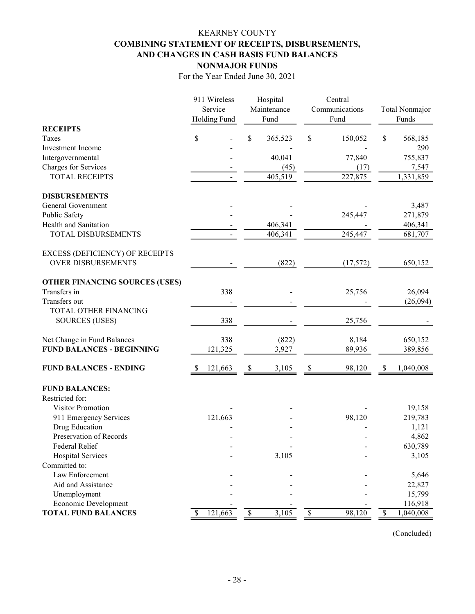## KEARNEY COUNTY COMBINING STATEMENT OF RECEIPTS, DISBURSEMENTS, AND CHANGES IN CASH BASIS FUND BALANCES NONMAJOR FUNDS

For the Year Ended June 30, 2021

|                                                                     | 911 Wireless        | Hospital      | Central        |                                        |
|---------------------------------------------------------------------|---------------------|---------------|----------------|----------------------------------------|
|                                                                     | Service             | Maintenance   | Communications | Total Nonmajor                         |
|                                                                     | <b>Holding Fund</b> | Fund          | Fund           | Funds                                  |
| <b>RECEIPTS</b>                                                     |                     |               |                |                                        |
| Taxes                                                               | \$                  | \$<br>365,523 | \$<br>150,052  | \$<br>568,185                          |
| Investment Income                                                   |                     |               |                | 290                                    |
| Intergovernmental                                                   |                     | 40,041        | 77,840         | 755,837                                |
| Charges for Services                                                |                     | (45)          | (17)           | 7,547                                  |
| <b>TOTAL RECEIPTS</b>                                               |                     | 405,519       | 227,875        | 1,331,859                              |
| <b>DISBURSEMENTS</b>                                                |                     |               |                |                                        |
| General Government                                                  |                     |               |                | 3,487                                  |
| Public Safety                                                       |                     |               | 245,447        | 271,879                                |
| Health and Sanitation                                               |                     | 406,341       |                | 406,341                                |
| TOTAL DISBURSEMENTS                                                 |                     | 406,341       | 245,447        | 681,707                                |
|                                                                     |                     |               |                |                                        |
| <b>EXCESS (DEFICIENCY) OF RECEIPTS</b><br><b>OVER DISBURSEMENTS</b> |                     | (822)         | (17, 572)      | 650,152                                |
|                                                                     |                     |               |                |                                        |
| <b>OTHER FINANCING SOURCES (USES)</b>                               |                     |               |                |                                        |
| Transfers in                                                        | 338                 |               | 25,756         | 26,094                                 |
| Transfers out                                                       |                     |               |                | (26,094)                               |
| TOTAL OTHER FINANCING                                               |                     |               |                |                                        |
| <b>SOURCES (USES)</b>                                               | 338                 |               | 25,756         |                                        |
| Net Change in Fund Balances                                         | 338                 | (822)         | 8,184          | 650,152                                |
| <b>FUND BALANCES - BEGINNING</b>                                    | 121,325             | 3,927         | 89,936         | 389,856                                |
| <b>FUND BALANCES - ENDING</b>                                       | 121,663             | \$<br>3,105   | \$<br>98,120   | \$<br>1,040,008                        |
|                                                                     |                     |               |                |                                        |
| <b>FUND BALANCES:</b>                                               |                     |               |                |                                        |
| Restricted for:                                                     |                     |               |                |                                        |
| <b>Visitor Promotion</b>                                            |                     |               |                | 19,158                                 |
| 911 Emergency Services                                              | 121,663             |               | 98,120         | 219,783                                |
| Drug Education                                                      |                     |               |                | 1,121                                  |
| Preservation of Records                                             |                     |               |                | 4,862                                  |
| Federal Relief                                                      |                     |               |                | 630,789                                |
| <b>Hospital Services</b>                                            |                     | 3,105         |                | 3,105                                  |
| Committed to:                                                       |                     |               |                |                                        |
| Law Enforcement                                                     |                     |               |                | 5,646                                  |
| Aid and Assistance                                                  |                     |               |                | 22,827                                 |
| Unemployment                                                        |                     |               |                | 15,799                                 |
| Economic Development                                                |                     |               |                | 116,918                                |
| <b>TOTAL FUND BALANCES</b>                                          | 121,663<br>\$       | $\$$<br>3,105 | 98,120<br>\$   | $\boldsymbol{\mathsf{S}}$<br>1,040,008 |

(Concluded)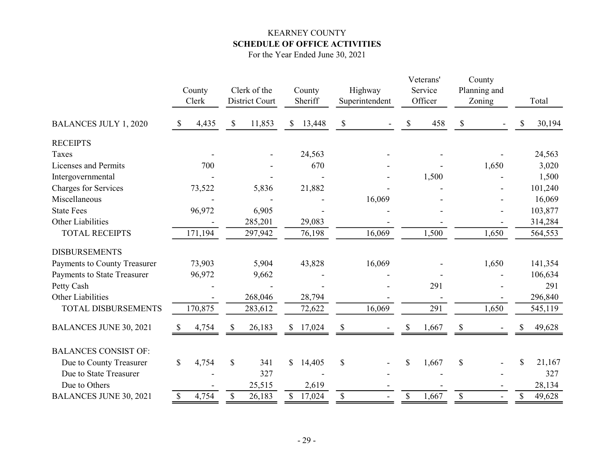## KEARNEY COUNTY SCHEDULE OF OFFICE ACTIVITIES

For the Year Ended June 30, 2021

|                               | County<br>Clerk |       |               | Clerk of the<br>District Court | County<br>Sheriff |          | Highway<br>Superintendent |        |             | Veterans'<br>Service<br>Officer | County<br>Planning and<br>Zoning |       |    | Total   |
|-------------------------------|-----------------|-------|---------------|--------------------------------|-------------------|----------|---------------------------|--------|-------------|---------------------------------|----------------------------------|-------|----|---------|
| <b>BALANCES JULY 1, 2020</b>  | <sup>S</sup>    | 4,435 | \$            | 11,853                         | \$                | 13,448   | \$                        |        | \$          | 458                             | \$                               |       | S  | 30,194  |
| <b>RECEIPTS</b>               |                 |       |               |                                |                   |          |                           |        |             |                                 |                                  |       |    |         |
| Taxes                         |                 |       |               |                                |                   | 24,563   |                           |        |             |                                 |                                  |       |    | 24,563  |
| Licenses and Permits          |                 | 700   |               |                                |                   | 670      |                           |        |             |                                 |                                  | 1,650 |    | 3,020   |
| Intergovernmental             |                 |       |               |                                |                   |          |                           |        |             | 1,500                           |                                  |       |    | 1,500   |
| <b>Charges for Services</b>   | 73,522          |       |               | 5,836                          |                   | 21,882   |                           |        |             |                                 |                                  |       |    | 101,240 |
| Miscellaneous                 |                 |       |               |                                |                   |          |                           | 16,069 |             |                                 |                                  |       |    | 16,069  |
| <b>State Fees</b>             | 96,972          |       |               | 6,905                          |                   |          |                           |        |             |                                 |                                  |       |    | 103,877 |
| Other Liabilities             |                 |       |               | 285,201                        |                   | 29,083   |                           |        |             |                                 |                                  |       |    | 314,284 |
| <b>TOTAL RECEIPTS</b>         | 171,194         |       |               | 297,942                        |                   | 76,198   |                           | 16,069 |             | 1,500                           |                                  | 1,650 |    | 564,553 |
| <b>DISBURSEMENTS</b>          |                 |       |               |                                |                   |          |                           |        |             |                                 |                                  |       |    |         |
| Payments to County Treasurer  | 73,903          |       |               | 5,904                          |                   | 43,828   |                           | 16,069 |             |                                 |                                  | 1,650 |    | 141,354 |
| Payments to State Treasurer   | 96,972          |       |               | 9,662                          |                   |          |                           |        |             |                                 |                                  |       |    | 106,634 |
| Petty Cash                    |                 |       |               |                                |                   |          |                           |        |             | 291                             |                                  |       |    | 291     |
| Other Liabilities             |                 |       |               | 268,046                        |                   | 28,794   |                           |        |             |                                 |                                  |       |    | 296,840 |
| TOTAL DISBURSEMENTS           | 170,875         |       |               | 283,612                        |                   | 72,622   |                           | 16,069 |             | 291                             |                                  | 1,650 |    | 545,119 |
| <b>BALANCES JUNE 30, 2021</b> | <sup>8</sup>    | 4,754 | \$            | 26,183                         |                   | \$17,024 | \$                        |        | \$          | 1,667                           |                                  |       | \$ | 49,628  |
| <b>BALANCES CONSIST OF:</b>   |                 |       |               |                                |                   |          |                           |        |             |                                 |                                  |       |    |         |
| Due to County Treasurer       | \$              | 4,754 | $\mathcal{S}$ | 341                            | \$                | 14,405   | \$                        |        | \$          | 1,667                           | $\mathcal{S}$                    |       | \$ | 21,167  |
| Due to State Treasurer        |                 |       |               | 327                            |                   |          |                           |        |             |                                 |                                  |       |    | 327     |
| Due to Others                 |                 |       |               | 25,515                         |                   | 2,619    |                           |        |             |                                 |                                  |       |    | 28,134  |
| <b>BALANCES JUNE 30, 2021</b> | \$              | 4,754 | $\$$          | 26,183                         | \$                | 17,024   | $\boldsymbol{\mathsf{S}}$ |        | $\mathbb S$ | 1,667                           | $\boldsymbol{\mathsf{S}}$        |       | \$ | 49,628  |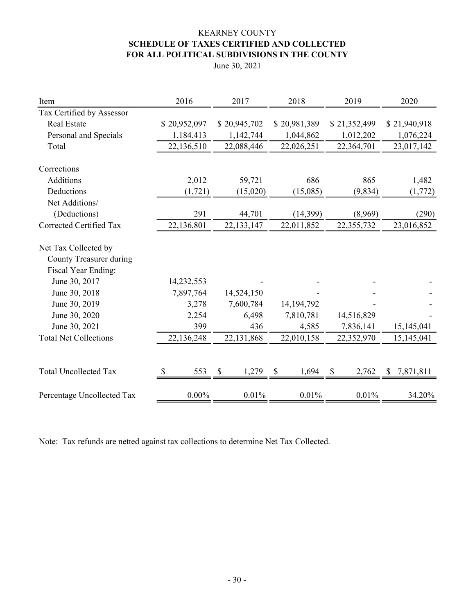## KEARNEY COUNTY SCHEDULE OF TAXES CERTIFIED AND COLLECTED FOR ALL POLITICAL SUBDIVISIONS IN THE COUNTY

June 30, 2021

| Item                                            | 2016         | 2017         | 2018         | 2019         | 2020            |
|-------------------------------------------------|--------------|--------------|--------------|--------------|-----------------|
| Tax Certified by Assessor                       |              |              |              |              |                 |
| <b>Real Estate</b>                              | \$20,952,097 | \$20,945,702 | \$20,981,389 | \$21,352,499 | \$21,940,918    |
| Personal and Specials                           | 1,184,413    | 1,142,744    | 1,044,862    | 1,012,202    | 1,076,224       |
| Total                                           | 22,136,510   | 22,088,446   | 22,026,251   | 22,364,701   | 23,017,142      |
| Corrections                                     |              |              |              |              |                 |
| Additions                                       | 2,012        | 59,721       | 686          | 865          | 1,482           |
| Deductions                                      | (1, 721)     | (15,020)     | (15,085)     | (9, 834)     | (1,772)         |
| Net Additions/                                  |              |              |              |              |                 |
| (Deductions)                                    | 291          | 44,701       | (14,399)     | (8,969)      | (290)           |
| Corrected Certified Tax                         | 22,136,801   | 22,133,147   | 22,011,852   | 22,355,732   | 23,016,852      |
| Net Tax Collected by<br>County Treasurer during |              |              |              |              |                 |
| <b>Fiscal Year Ending:</b>                      |              |              |              |              |                 |
| June 30, 2017                                   | 14,232,553   |              |              |              |                 |
| June 30, 2018                                   | 7,897,764    | 14,524,150   |              |              |                 |
| June 30, 2019                                   | 3,278        | 7,600,784    | 14,194,792   |              |                 |
| June 30, 2020                                   | 2,254        | 6,498        | 7,810,781    | 14,516,829   |                 |
| June 30, 2021                                   | 399          | 436          | 4,585        | 7,836,141    | 15,145,041      |
| <b>Total Net Collections</b>                    | 22,136,248   | 22,131,868   | 22,010,158   | 22,352,970   | 15,145,041      |
|                                                 |              |              |              |              |                 |
| <b>Total Uncollected Tax</b>                    | 553          | \$<br>1,279  | \$<br>1,694  | 2,762<br>S   | 7,871,811<br>\$ |
| Percentage Uncollected Tax                      | $0.00\%$     | 0.01%        | 0.01%        | 0.01%        | 34.20%          |

Note: Tax refunds are netted against tax collections to determine Net Tax Collected.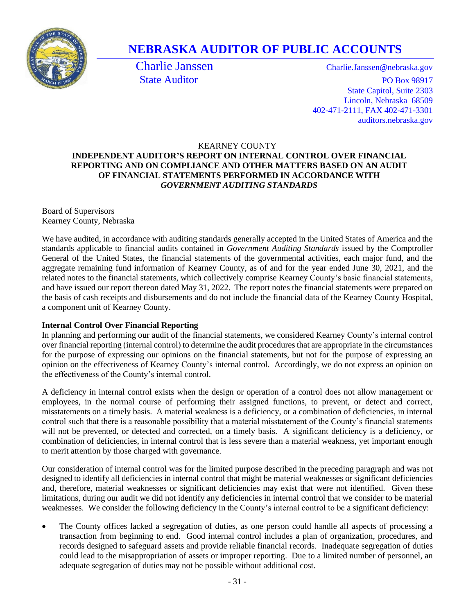

# **NEBRASKA AUDITOR OF PUBLIC ACCOUNTS**

Charlie Janssen Charlie.Janssen@nebraska.gov State Auditor PO Box 98917 State Capitol, Suite 2303 Lincoln, Nebraska 68509 402-471-2111, FAX 402-471-3301 auditors.nebraska.gov

## KEARNEY COUNTY

## **INDEPENDENT AUDITOR'S REPORT ON INTERNAL CONTROL OVER FINANCIAL REPORTING AND ON COMPLIANCE AND OTHER MATTERS BASED ON AN AUDIT OF FINANCIAL STATEMENTS PERFORMED IN ACCORDANCE WITH**  *GOVERNMENT AUDITING STANDARDS*

Board of Supervisors Kearney County, Nebraska

We have audited, in accordance with auditing standards generally accepted in the United States of America and the standards applicable to financial audits contained in *Government Auditing Standards* issued by the Comptroller General of the United States, the financial statements of the governmental activities, each major fund, and the aggregate remaining fund information of Kearney County, as of and for the year ended June 30, 2021, and the related notes to the financial statements, which collectively comprise Kearney County's basic financial statements, and have issued our report thereon dated May 31, 2022. The report notes the financial statements were prepared on the basis of cash receipts and disbursements and do not include the financial data of the Kearney County Hospital, a component unit of Kearney County.

#### **Internal Control Over Financial Reporting**

In planning and performing our audit of the financial statements, we considered Kearney County's internal control over financial reporting (internal control) to determine the audit procedures that are appropriate in the circumstances for the purpose of expressing our opinions on the financial statements, but not for the purpose of expressing an opinion on the effectiveness of Kearney County's internal control. Accordingly, we do not express an opinion on the effectiveness of the County's internal control.

A deficiency in internal control exists when the design or operation of a control does not allow management or employees, in the normal course of performing their assigned functions, to prevent, or detect and correct, misstatements on a timely basis. A material weakness is a deficiency, or a combination of deficiencies, in internal control such that there is a reasonable possibility that a material misstatement of the County's financial statements will not be prevented, or detected and corrected, on a timely basis. A significant deficiency is a deficiency, or combination of deficiencies, in internal control that is less severe than a material weakness, yet important enough to merit attention by those charged with governance.

Our consideration of internal control was for the limited purpose described in the preceding paragraph and was not designed to identify all deficiencies in internal control that might be material weaknesses or significant deficiencies and, therefore, material weaknesses or significant deficiencies may exist that were not identified. Given these limitations, during our audit we did not identify any deficiencies in internal control that we consider to be material weaknesses. We consider the following deficiency in the County's internal control to be a significant deficiency:

• The County offices lacked a segregation of duties, as one person could handle all aspects of processing a transaction from beginning to end. Good internal control includes a plan of organization, procedures, and records designed to safeguard assets and provide reliable financial records. Inadequate segregation of duties could lead to the misappropriation of assets or improper reporting. Due to a limited number of personnel, an adequate segregation of duties may not be possible without additional cost.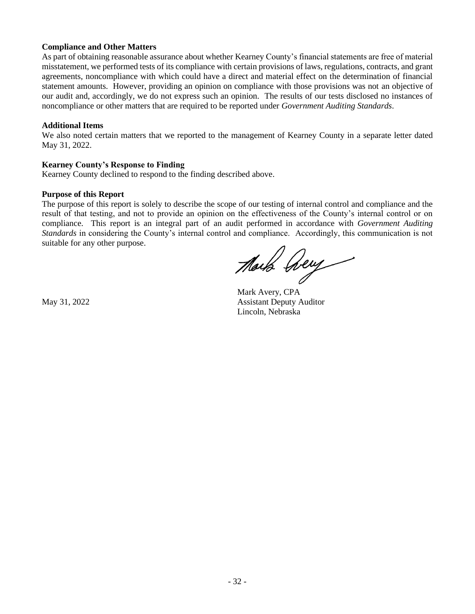#### **Compliance and Other Matters**

As part of obtaining reasonable assurance about whether Kearney County's financial statements are free of material misstatement, we performed tests of its compliance with certain provisions of laws, regulations, contracts, and grant agreements, noncompliance with which could have a direct and material effect on the determination of financial statement amounts. However, providing an opinion on compliance with those provisions was not an objective of our audit and, accordingly, we do not express such an opinion. The results of our tests disclosed no instances of noncompliance or other matters that are required to be reported under *Government Auditing Standards*.

#### **Additional Items**

We also noted certain matters that we reported to the management of Kearney County in a separate letter dated May 31, 2022.

#### **Kearney County's Response to Finding**

Kearney County declined to respond to the finding described above.

#### **Purpose of this Report**

The purpose of this report is solely to describe the scope of our testing of internal control and compliance and the result of that testing, and not to provide an opinion on the effectiveness of the County's internal control or on compliance. This report is an integral part of an audit performed in accordance with *Government Auditing Standards* in considering the County's internal control and compliance. Accordingly, this communication is not suitable for any other purpose.

Mark Dey

Mark Avery, CPA May 31, 2022 Assistant Deputy Auditor Lincoln, Nebraska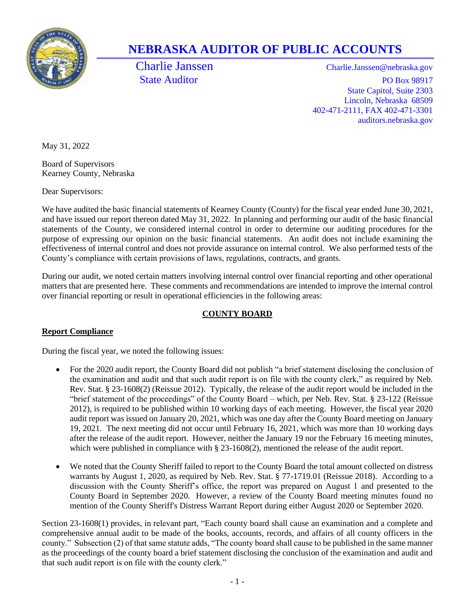

# **NEBRASKA AUDITOR OF PUBLIC ACCOUNTS**

Charlie Janssen Charlie.Janssen@nebraska.gov State Auditor PO Box 98917 State Capitol, Suite 2303 Lincoln, Nebraska 68509 402-471-2111, FAX 402-471-3301 auditors.nebraska.gov

May 31, 2022

Board of Supervisors Kearney County, Nebraska

Dear Supervisors:

We have audited the basic financial statements of Kearney County (County) for the fiscal year ended June 30, 2021, and have issued our report thereon dated May 31, 2022. In planning and performing our audit of the basic financial statements of the County, we considered internal control in order to determine our auditing procedures for the purpose of expressing our opinion on the basic financial statements. An audit does not include examining the effectiveness of internal control and does not provide assurance on internal control. We also performed tests of the County's compliance with certain provisions of laws, regulations, contracts, and grants.

During our audit, we noted certain matters involving internal control over financial reporting and other operational matters that are presented here. These comments and recommendations are intended to improve the internal control over financial reporting or result in operational efficiencies in the following areas:

## **COUNTY BOARD**

## **Report Compliance**

During the fiscal year, we noted the following issues:

- For the 2020 audit report, the County Board did not publish "a brief statement disclosing the conclusion of the examination and audit and that such audit report is on file with the county clerk," as required by Neb. Rev. Stat. § 23-1608(2) (Reissue 2012). Typically, the release of the audit report would be included in the "brief statement of the proceedings" of the County Board – which, per Neb. Rev. Stat. § 23-122 (Reissue 2012), is required to be published within 10 working days of each meeting. However, the fiscal year 2020 audit report was issued on January 20, 2021, which was one day after the County Board meeting on January 19, 2021. The next meeting did not occur until February 16, 2021, which was more than 10 working days after the release of the audit report. However, neither the January 19 nor the February 16 meeting minutes, which were published in compliance with § 23-1608(2), mentioned the release of the audit report.
- We noted that the County Sheriff failed to report to the County Board the total amount collected on distress warrants by August 1, 2020, as required by Neb. Rev. Stat. § 77-1719.01 (Reissue 2018). According to a discussion with the County Sheriff's office, the report was prepared on August 1 and presented to the County Board in September 2020. However, a review of the County Board meeting minutes found no mention of the County Sheriff's Distress Warrant Report during either August 2020 or September 2020.

Section 23-1608(1) provides, in relevant part, "Each county board shall cause an examination and a complete and comprehensive annual audit to be made of the books, accounts, records, and affairs of all county officers in the county." Subsection (2) of that same statute adds, "The county board shall cause to be published in the same manner as the proceedings of the county board a brief statement disclosing the conclusion of the examination and audit and that such audit report is on file with the county clerk."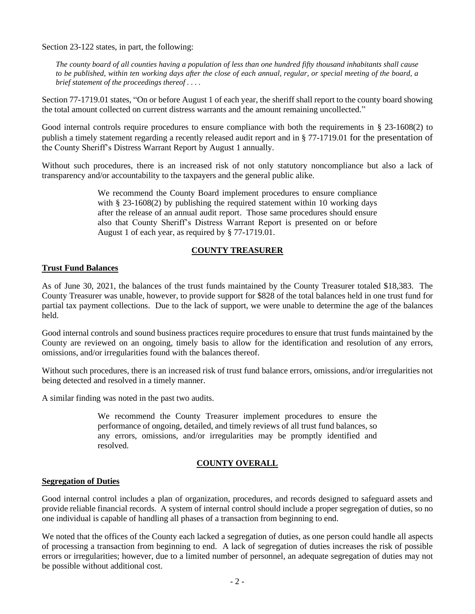Section 23-122 states, in part, the following:

*The county board of all counties having a population of less than one hundred fifty thousand inhabitants shall cause to be published, within ten working days after the close of each annual, regular, or special meeting of the board, a brief statement of the proceedings thereof . . . .*

Section 77-1719.01 states, "On or before August 1 of each year, the sheriff shall report to the county board showing the total amount collected on current distress warrants and the amount remaining uncollected."

Good internal controls require procedures to ensure compliance with both the requirements in § 23-1608(2) to publish a timely statement regarding a recently released audit report and in § 77-1719.01 for the presentation of the County Sheriff's Distress Warrant Report by August 1 annually.

Without such procedures, there is an increased risk of not only statutory noncompliance but also a lack of transparency and/or accountability to the taxpayers and the general public alike.

> We recommend the County Board implement procedures to ensure compliance with § 23-1608(2) by publishing the required statement within 10 working days after the release of an annual audit report. Those same procedures should ensure also that County Sheriff's Distress Warrant Report is presented on or before August 1 of each year, as required by § 77-1719.01.

### **COUNTY TREASURER**

#### **Trust Fund Balances**

As of June 30, 2021, the balances of the trust funds maintained by the County Treasurer totaled \$18,383. The County Treasurer was unable, however, to provide support for \$828 of the total balances held in one trust fund for partial tax payment collections. Due to the lack of support, we were unable to determine the age of the balances held.

Good internal controls and sound business practices require procedures to ensure that trust funds maintained by the County are reviewed on an ongoing, timely basis to allow for the identification and resolution of any errors, omissions, and/or irregularities found with the balances thereof.

Without such procedures, there is an increased risk of trust fund balance errors, omissions, and/or irregularities not being detected and resolved in a timely manner.

A similar finding was noted in the past two audits.

We recommend the County Treasurer implement procedures to ensure the performance of ongoing, detailed, and timely reviews of all trust fund balances, so any errors, omissions, and/or irregularities may be promptly identified and resolved.

## **COUNTY OVERALL**

#### **Segregation of Duties**

Good internal control includes a plan of organization, procedures, and records designed to safeguard assets and provide reliable financial records. A system of internal control should include a proper segregation of duties, so no one individual is capable of handling all phases of a transaction from beginning to end.

We noted that the offices of the County each lacked a segregation of duties, as one person could handle all aspects of processing a transaction from beginning to end. A lack of segregation of duties increases the risk of possible errors or irregularities; however, due to a limited number of personnel, an adequate segregation of duties may not be possible without additional cost.